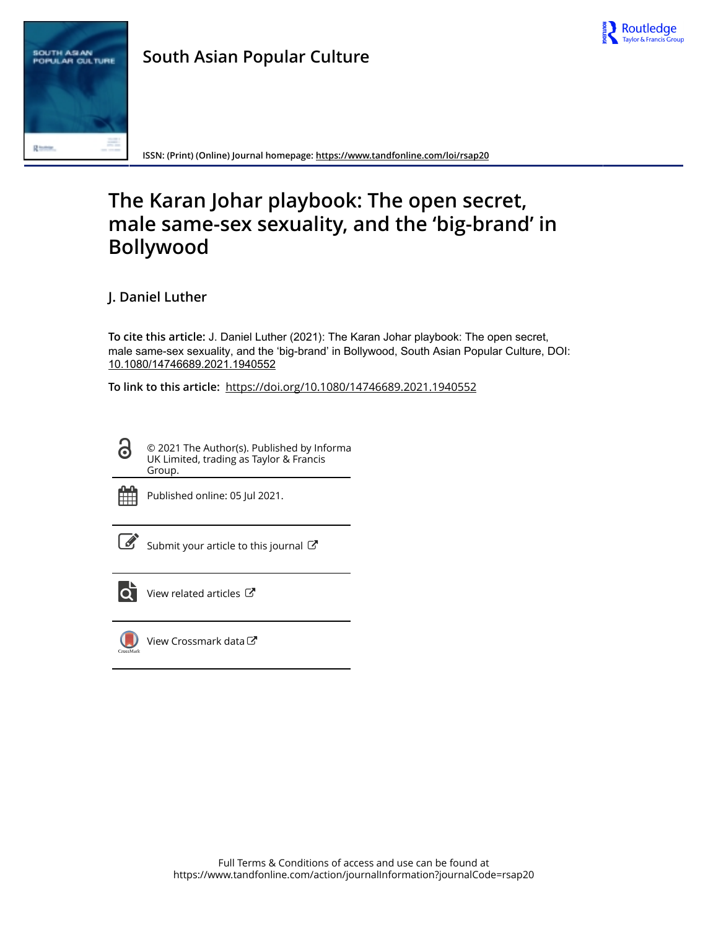



**ISSN: (Print) (Online) Journal homepage:<https://www.tandfonline.com/loi/rsap20>**

# **The Karan Johar playbook: The open secret, male same-sex sexuality, and the 'big-brand' in Bollywood**

**J. Daniel Luther**

**To cite this article:** J. Daniel Luther (2021): The Karan Johar playbook: The open secret, male same-sex sexuality, and the 'big-brand' in Bollywood, South Asian Popular Culture, DOI: [10.1080/14746689.2021.1940552](https://www.tandfonline.com/action/showCitFormats?doi=10.1080/14746689.2021.1940552)

**To link to this article:** <https://doi.org/10.1080/14746689.2021.1940552>

© 2021 The Author(s). Published by Informa UK Limited, trading as Taylor & Francis Group.



G

Published online: 05 Jul 2021.

[Submit your article to this journal](https://www.tandfonline.com/action/authorSubmission?journalCode=rsap20&show=instructions)  $\mathbb{Z}$ 



[View related articles](https://www.tandfonline.com/doi/mlt/10.1080/14746689.2021.1940552)  $\mathbb{Z}$ 



[View Crossmark data](http://crossmark.crossref.org/dialog/?doi=10.1080/14746689.2021.1940552&domain=pdf&date_stamp=2021-07-05)<sup>C</sup>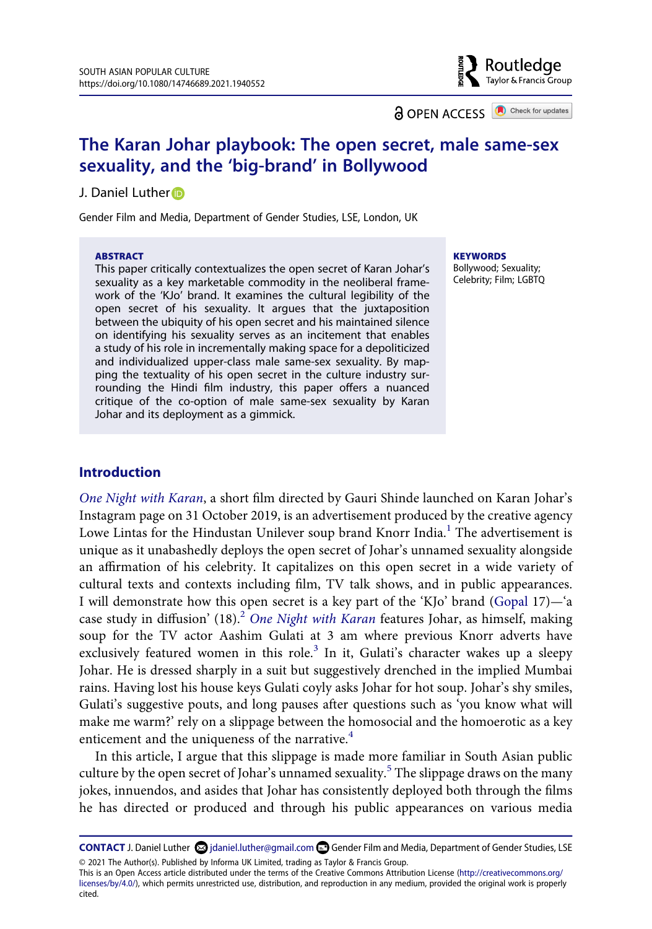**a** OPEN ACCESS **a** Check for updates

Routledge Taylor & Francis Group

# **The Karan Johar playbook: The open secret, male same-sex sexuality, and the 'big-brand' in Bollywood**

#### J. Daniel Luther<sup>®</sup>

Gender Film and Media, Department of Gender Studies, LSE, London, UK

#### **ABSTRACT**

This paper critically contextualizes the open secret of Karan Johar's sexuality as a key marketable commodity in the neoliberal framework of the 'KJo' brand. It examines the cultural legibility of the open secret of his sexuality. It argues that the juxtaposition between the ubiquity of his open secret and his maintained silence on identifying his sexuality serves as an incitement that enables a study of his role in incrementally making space for a depoliticized and individualized upper-class male same-sex sexuality. By mapping the textuality of his open secret in the culture industry surrounding the Hindi film industry, this paper offers a nuanced critique of the co-option of male same-sex sexuality by Karan Johar and its deployment as a gimmick.

#### **KEYWORDS**

Bollywood; Sexuality; Celebrity; Film; LGBTQ

# **Introduction**

<span id="page-1-1"></span><span id="page-1-0"></span>*[One Night with Karan](#page-22-0)*, a short film directed by Gauri Shinde launched on Karan Johar's Instagram page on 31 October 2019, is an advertisement produced by the creative agency Lowe Lintas for the Hindustan Unilever soup brand Knorr India.<sup>1</sup> The advertisement is unique as it unabashedly deploys the open secret of Johar's unnamed sexuality alongside an affirmation of his celebrity. It capitalizes on this open secret in a wide variety of cultural texts and contexts including film, TV talk shows, and in public appearances. I will demonstrate how this open secret is a key part of the 'KJo' brand [\(Gopal](#page-20-0) 17)—'a case study in diffusion' (18).<sup>2</sup> [One Night with Karan](#page-22-0) features Johar, as himself, making soup for the TV actor Aashim Gulati at 3 am where previous Knorr adverts have exclusively featured women in this role.<sup>3</sup> In it, Gulati's character wakes up a sleepy Johar. He is dressed sharply in a suit but suggestively drenched in the implied Mumbai rains. Having lost his house keys Gulati coyly asks Johar for hot soup. Johar's shy smiles, Gulati's suggestive pouts, and long pauses after questions such as 'you know what will make me warm?' rely on a slippage between the homosocial and the homoerotic as a key enticement and the uniqueness of the narrative.<sup>[4](#page-15-3)</sup>

In this article, I argue that this slippage is made more familiar in South Asian public culture by the open secret of Johar's unnamed sexuality.<sup>5</sup> The slippage draws on the many jokes, innuendos, and asides that Johar has consistently deployed both through the films he has directed or produced and through his public appearances on various media

**CONTACT J.** Daniel Luther  $\odot$  jdaniel.luther@gmail.com  $\odot$  Gender Film and Media, Department of Gender Studies, LSE © 2021 The Author(s). Published by Informa UK Limited, trading as Taylor & Francis Group.

This is an Open Access article distributed under the terms of the Creative Commons Attribution License (http://creativecommons.org/ licenses/by/4.0/), which permits unrestricted use, distribution, and reproduction in any medium, provided the original work is properly cited.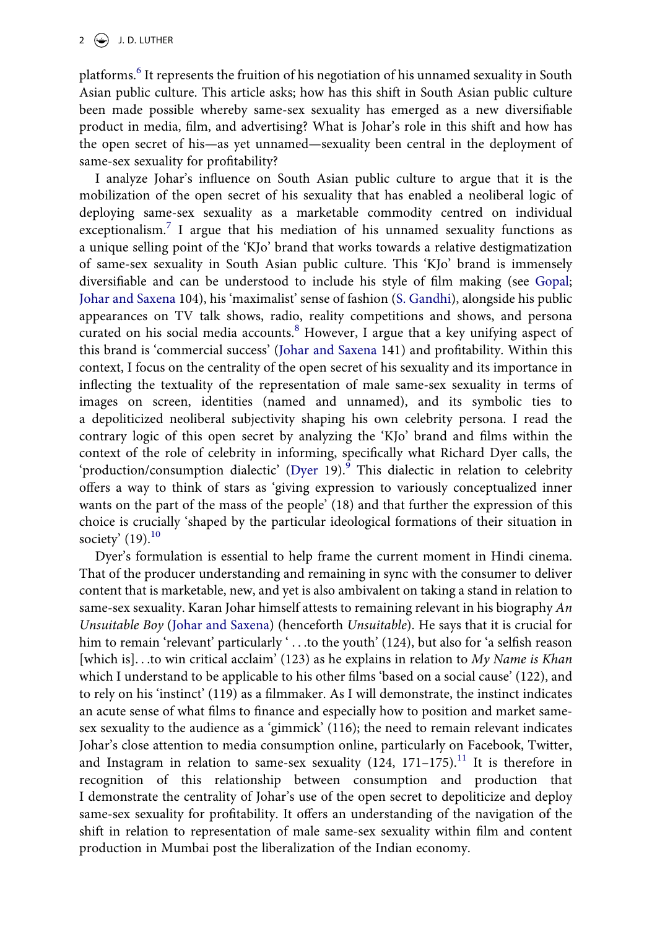platforms.<sup>6</sup> It represents the fruition of his negotiation of his unnamed sexuality in South Asian public culture. This article asks; how has this shift in South Asian public culture been made possible whereby same-sex sexuality has emerged as a new diversifiable product in media, film, and advertising? What is Johar's role in this shift and how has the open secret of his—as yet unnamed—sexuality been central in the deployment of same-sex sexuality for profitability?

<span id="page-2-1"></span>I analyze Johar's influence on South Asian public culture to argue that it is the mobilization of the open secret of his sexuality that has enabled a neoliberal logic of deploying same-sex sexuality as a marketable commodity centred on individual exceptionalism.<sup>7</sup> I argue that his mediation of his unnamed sexuality functions as a unique selling point of the 'KJo' brand that works towards a relative destigmatization of same-sex sexuality in South Asian public culture. This 'KJo' brand is immensely diversifiable and can be understood to include his style of film making (see [Gopal;](#page-20-0) [Johar and Saxena](#page-20-1) 104), his 'maximalist' sense of fashion ([S. Gandhi\)](#page-20-2), alongside his public appearances on TV talk shows, radio, reality competitions and shows, and persona curated on his social media accounts.<sup>8</sup> However, I argue that a key unifying aspect of this brand is 'commercial success' [\(Johar and Saxena](#page-20-1) 141) and profitability. Within this context, I focus on the centrality of the open secret of his sexuality and its importance in inflecting the textuality of the representation of male same-sex sexuality in terms of images on screen, identities (named and unnamed), and its symbolic ties to a depoliticized neoliberal subjectivity shaping his own celebrity persona. I read the contrary logic of this open secret by analyzing the 'KJo' brand and films within the context of the role of celebrity in informing, specifically what Richard Dyer calls, the 'production/consumption dialectic' ([Dyer](#page-19-0) 1[9](#page-16-4)).<sup>9</sup> This dialectic in relation to celebrity offers a way to think of stars as 'giving expression to variously conceptualized inner wants on the part of the mass of the people' (18) and that further the expression of this choice is crucially 'shaped by the particular ideological formations of their situation in society'  $(19).^{10}$  $(19).^{10}$  $(19).^{10}$ 

<span id="page-2-2"></span><span id="page-2-0"></span>Dyer's formulation is essential to help frame the current moment in Hindi cinema. That of the producer understanding and remaining in sync with the consumer to deliver content that is marketable, new, and yet is also ambivalent on taking a stand in relation to same-sex sexuality. Karan Johar himself attests to remaining relevant in his biography *An Unsuitable Boy* [\(Johar and Saxena\)](#page-20-1) (henceforth *Unsuitable*). He says that it is crucial for him to remain 'relevant' particularly ' . . .to the youth' (124), but also for 'a selfish reason [which is]. . .to win critical acclaim' (123) as he explains in relation to *My Name is Khan*  which I understand to be applicable to his other films 'based on a social cause' (122), and to rely on his 'instinct' (119) as a filmmaker. As I will demonstrate, the instinct indicates an acute sense of what films to finance and especially how to position and market samesex sexuality to the audience as a 'gimmick' (116); the need to remain relevant indicates Johar's close attention to media consumption online, particularly on Facebook, Twitter, and Instagram in relation to same-sex sexuality  $(124, 171-175).$ <sup>[11](#page-16-6)</sup> It is therefore in recognition of this relationship between consumption and production that I demonstrate the centrality of Johar's use of the open secret to depoliticize and deploy same-sex sexuality for profitability. It offers an understanding of the navigation of the shift in relation to representation of male same-sex sexuality within film and content production in Mumbai post the liberalization of the Indian economy.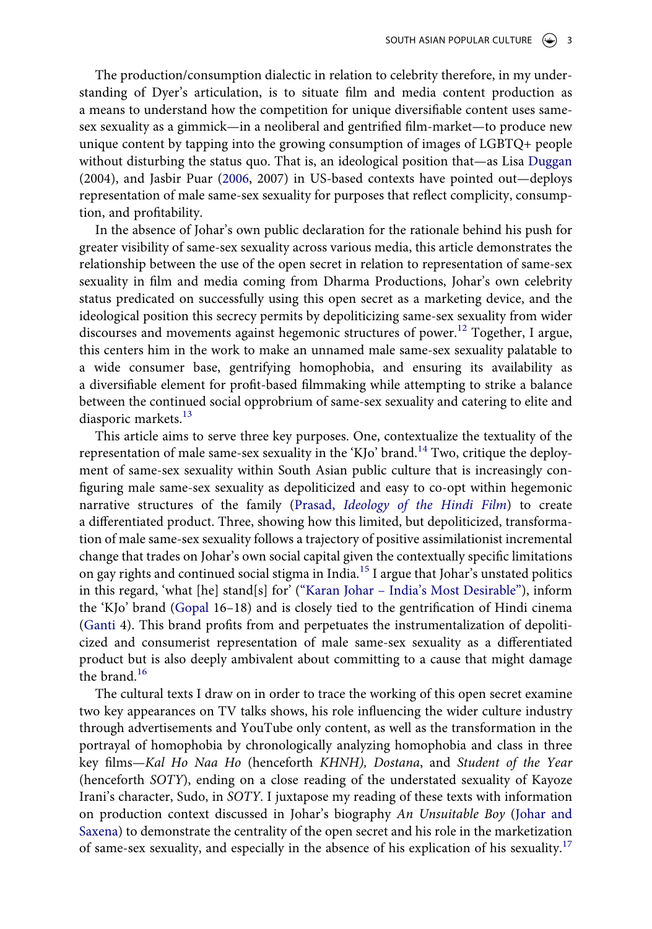The production/consumption dialectic in relation to celebrity therefore, in my understanding of Dyer's articulation, is to situate film and media content production as a means to understand how the competition for unique diversifiable content uses samesex sexuality as a gimmick—in a neoliberal and gentrified film-market—to produce new unique content by tapping into the growing consumption of images of LGBTQ+ people without disturbing the status quo. That is, an ideological position that—as Lisa [Duggan](#page-19-1) (2004), and Jasbir Puar [\(2006,](#page-20-3) 2007) in US-based contexts have pointed out—deploys representation of male same-sex sexuality for purposes that reflect complicity, consumption, and profitability.

<span id="page-3-3"></span><span id="page-3-0"></span>In the absence of Johar's own public declaration for the rationale behind his push for greater visibility of same-sex sexuality across various media, this article demonstrates the relationship between the use of the open secret in relation to representation of same-sex sexuality in film and media coming from Dharma Productions, Johar's own celebrity status predicated on successfully using this open secret as a marketing device, and the ideological position this secrecy permits by depoliticizing same-sex sexuality from wider discourses and movements against hegemonic structures of power.<sup>12</sup> Together, I argue, this centers him in the work to make an unnamed male same-sex sexuality palatable to a wide consumer base, gentrifying homophobia, and ensuring its availability as a diversifiable element for profit-based filmmaking while attempting to strike a balance between the continued social opprobrium of same-sex sexuality and catering to elite and diasporic markets.<sup>[13](#page-17-0)</sup>

<span id="page-3-2"></span>This article aims to serve three key purposes. One, contextualize the textuality of the representation of male same-sex sexuality in the 'KJo' brand.<sup>14</sup> Two, critique the deployment of same-sex sexuality within South Asian public culture that is increasingly configuring male same-sex sexuality as depoliticized and easy to co-opt within hegemonic narrative structures of the family (Prasad, *[Ideology of the Hindi Film](#page-20-4)*) to create a differentiated product. Three, showing how this limited, but depoliticized, transformation of male same-sex sexuality follows a trajectory of positive assimilationist incremental change that trades on Johar's own social capital given the contextually specific limitations on gay rights and continued social stigma in India[.15](#page-17-2) I argue that Johar's unstated politics in this regard, 'what [he] stand[s] for' [\("Karan Johar – India's Most Desirable"\)](#page-22-1), inform the 'KJo' brand [\(Gopal](#page-20-0) 16–18) and is closely tied to the gentrification of Hindi cinema ([Ganti](#page-20-5) 4). This brand profits from and perpetuates the instrumentalization of depoliticized and consumerist representation of male same-sex sexuality as a differentiated product but is also deeply ambivalent about committing to a cause that might damage the brand. $16$ 

<span id="page-3-4"></span><span id="page-3-1"></span>The cultural texts I draw on in order to trace the working of this open secret examine two key appearances on TV talks shows, his role influencing the wider culture industry through advertisements and YouTube only content, as well as the transformation in the portrayal of homophobia by chronologically analyzing homophobia and class in three key films—*Kal Ho Naa Ho* (henceforth *KHNH), Dostana*, and *Student of the Year*  (henceforth *SOTY*), ending on a close reading of the understated sexuality of Kayoze Irani's character, Sudo, in *SOTY*. I juxtapose my reading of these texts with information on production context discussed in Johar's biography *An Unsuitable Boy* [\(Johar and](#page-20-1) [Saxena](#page-20-1)) to demonstrate the centrality of the open secret and his role in the marketization of same-sex sexuality, and especially in the absence of his explication of his sexuality.[17](#page-17-4)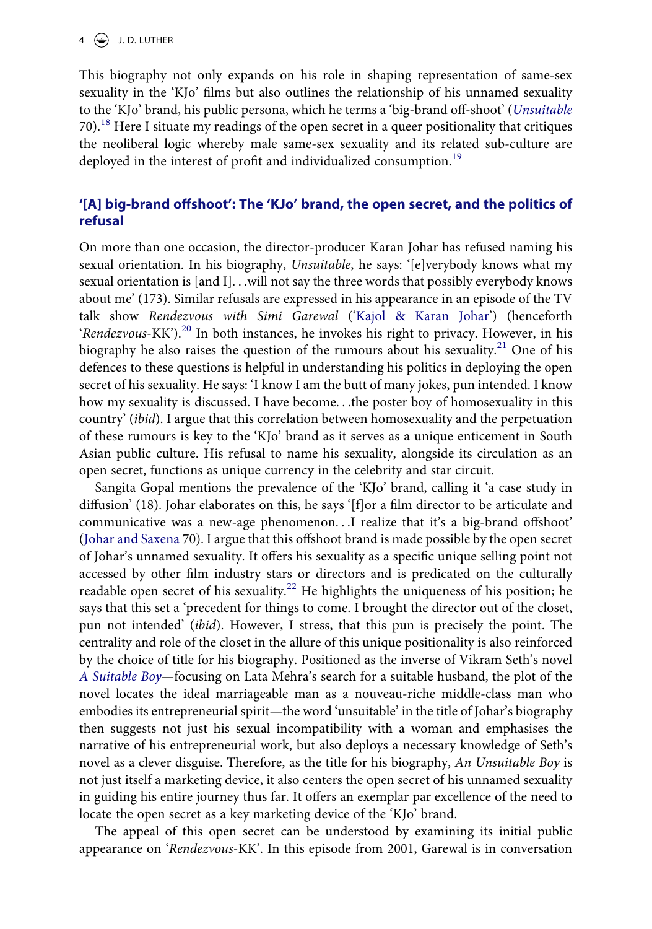## $4 \quad \Leftrightarrow$  J.D. LUTHER

This biography not only expands on his role in shaping representation of same-sex sexuality in the 'KJo' films but also outlines the relationship of his unnamed sexuality to the 'KJo' brand, his public persona, which he terms a 'big-brand off-shoot' (*[Unsuitable](#page-20-1)*  70)[.18](#page-17-5) Here I situate my readings of the open secret in a queer positionality that critiques the neoliberal logic whereby male same-sex sexuality and its related sub-culture are deployed in the interest of profit and individualized consumption.<sup>19</sup>

# **'[A] big-brand offshoot': The 'KJo' brand, the open secret, and the politics of refusal**

<span id="page-4-1"></span>On more than one occasion, the director-producer Karan Johar has refused naming his sexual orientation. In his biography, *Unsuitable*, he says: '[e]verybody knows what my sexual orientation is [and I]. . .will not say the three words that possibly everybody knows about me' (173). Similar refusals are expressed in his appearance in an episode of the TV talk show *Rendezvous with Simi Garewal* (['Kajol & Karan Johar](#page-22-2)') (henceforth '*Rendezvous*-KK').<sup>20</sup> In both instances, he invokes his right to privacy. However, in his biography he also raises the question of the rumours about his sexuality.<sup>21</sup> One of his defences to these questions is helpful in understanding his politics in deploying the open secret of his sexuality. He says: 'I know I am the butt of many jokes, pun intended. I know how my sexuality is discussed. I have become. . .the poster boy of homosexuality in this country' (*ibid*). I argue that this correlation between homosexuality and the perpetuation of these rumours is key to the 'KJo' brand as it serves as a unique enticement in South Asian public culture. His refusal to name his sexuality, alongside its circulation as an open secret, functions as unique currency in the celebrity and star circuit.

<span id="page-4-0"></span>Sangita Gopal mentions the prevalence of the 'KJo' brand, calling it 'a case study in diffusion' (18). Johar elaborates on this, he says '[f]or a film director to be articulate and communicative was a new-age phenomenon. . .I realize that it's a big-brand offshoot' ([Johar and Saxena](#page-20-1) 70). I argue that this offshoot brand is made possible by the open secret of Johar's unnamed sexuality. It offers his sexuality as a specific unique selling point not accessed by other film industry stars or directors and is predicated on the culturally readable open secret of his sexuality.<sup>22</sup> He highlights the uniqueness of his position; he says that this set a 'precedent for things to come. I brought the director out of the closet, pun not intended' (*ibid*). However, I stress, that this pun is precisely the point. The centrality and role of the closet in the allure of this unique positionality is also reinforced by the choice of title for his biography. Positioned as the inverse of Vikram Seth's novel *[A Suitable Boy](#page-21-0)*—focusing on Lata Mehra's search for a suitable husband, the plot of the novel locates the ideal marriageable man as a nouveau-riche middle-class man who embodies its entrepreneurial spirit—the word 'unsuitable' in the title of Johar's biography then suggests not just his sexual incompatibility with a woman and emphasises the narrative of his entrepreneurial work, but also deploys a necessary knowledge of Seth's novel as a clever disguise. Therefore, as the title for his biography, *An Unsuitable Boy* is not just itself a marketing device, it also centers the open secret of his unnamed sexuality in guiding his entire journey thus far. It offers an exemplar par excellence of the need to locate the open secret as a key marketing device of the 'KJo' brand.

The appeal of this open secret can be understood by examining its initial public appearance on '*Rendezvous*-KK'. In this episode from 2001, Garewal is in conversation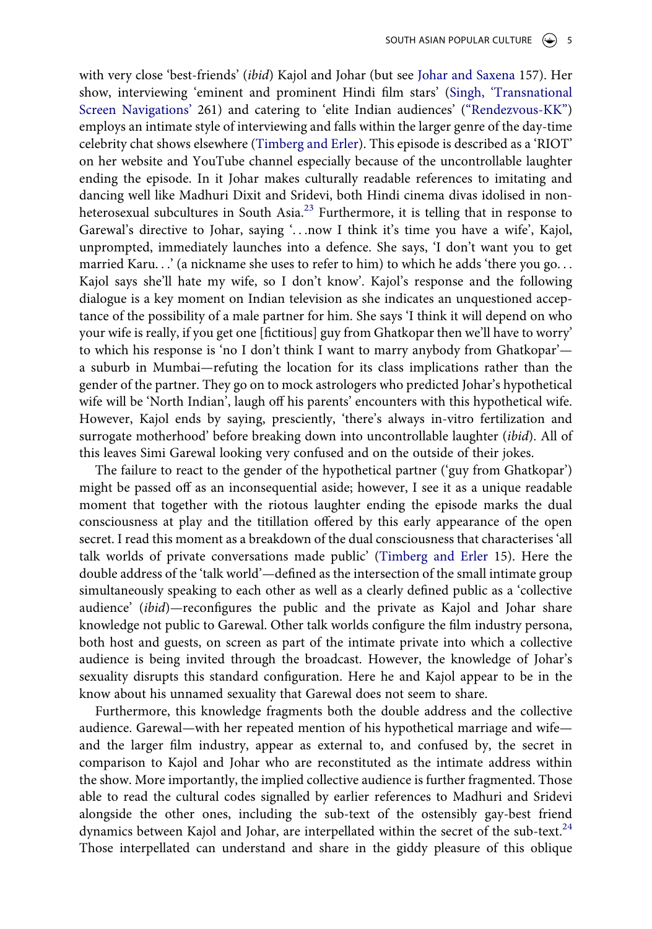<span id="page-5-0"></span>with very close 'best-friends' (*ibid*) Kajol and Johar (but see [Johar and Saxena](#page-20-1) 157). Her show, interviewing 'eminent and prominent Hindi film stars' [\(Singh, 'Transnational](#page-21-1) [Screen Navigations'](#page-21-1) 261) and catering to 'elite Indian audiences' (["Rendezvous-KK"\)](#page-22-2) employs an intimate style of interviewing and falls within the larger genre of the day-time celebrity chat shows elsewhere ([Timberg and Erler](#page-21-2)). This episode is described as a 'RIOT' on her website and YouTube channel especially because of the uncontrollable laughter ending the episode. In it Johar makes culturally readable references to imitating and dancing well like Madhuri Dixit and Sridevi, both Hindi cinema divas idolised in nonheterosexual subcultures in South Asia.<sup>23</sup> Furthermore, it is telling that in response to Garewal's directive to Johar, saying '. . .now I think it's time you have a wife', Kajol, unprompted, immediately launches into a defence. She says, 'I don't want you to get married Karu...' (a nickname she uses to refer to him) to which he adds 'there you go... Kajol says she'll hate my wife, so I don't know'. Kajol's response and the following dialogue is a key moment on Indian television as she indicates an unquestioned acceptance of the possibility of a male partner for him. She says 'I think it will depend on who your wife is really, if you get one [fictitious] guy from Ghatkopar then we'll have to worry' to which his response is 'no I don't think I want to marry anybody from Ghatkopar' a suburb in Mumbai—refuting the location for its class implications rather than the gender of the partner. They go on to mock astrologers who predicted Johar's hypothetical wife will be 'North Indian', laugh off his parents' encounters with this hypothetical wife. However, Kajol ends by saying, presciently, 'there's always in-vitro fertilization and surrogate motherhood' before breaking down into uncontrollable laughter (*ibid*). All of this leaves Simi Garewal looking very confused and on the outside of their jokes.

<span id="page-5-1"></span>The failure to react to the gender of the hypothetical partner ('guy from Ghatkopar') might be passed off as an inconsequential aside; however, I see it as a unique readable moment that together with the riotous laughter ending the episode marks the dual consciousness at play and the titillation offered by this early appearance of the open secret. I read this moment as a breakdown of the dual consciousness that characterises 'all talk worlds of private conversations made public' [\(Timberg and Erler](#page-21-2) 15). Here the double address of the 'talk world'—defined as the intersection of the small intimate group simultaneously speaking to each other as well as a clearly defined public as a 'collective audience' (*ibid*)—reconfigures the public and the private as Kajol and Johar share knowledge not public to Garewal. Other talk worlds configure the film industry persona, both host and guests, on screen as part of the intimate private into which a collective audience is being invited through the broadcast. However, the knowledge of Johar's sexuality disrupts this standard configuration. Here he and Kajol appear to be in the know about his unnamed sexuality that Garewal does not seem to share.

Furthermore, this knowledge fragments both the double address and the collective audience. Garewal—with her repeated mention of his hypothetical marriage and wife and the larger film industry, appear as external to, and confused by, the secret in comparison to Kajol and Johar who are reconstituted as the intimate address within the show. More importantly, the implied collective audience is further fragmented. Those able to read the cultural codes signalled by earlier references to Madhuri and Sridevi alongside the other ones, including the sub-text of the ostensibly gay-best friend dynamics between Kajol and Johar, are interpellated within the secret of the sub-text. $^{24}$  $^{24}$  $^{24}$ Those interpellated can understand and share in the giddy pleasure of this oblique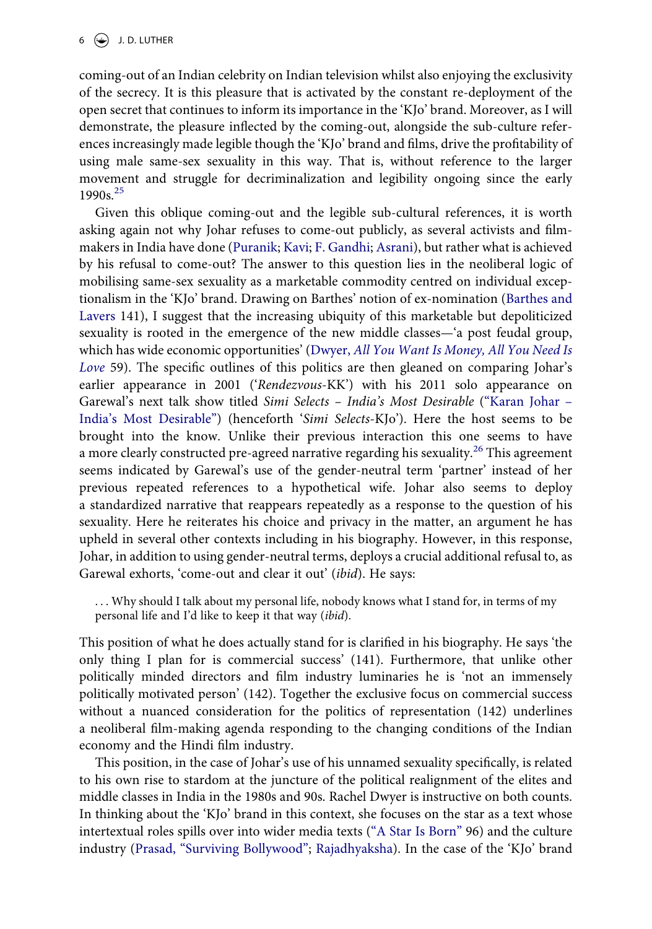coming-out of an Indian celebrity on Indian television whilst also enjoying the exclusivity of the secrecy. It is this pleasure that is activated by the constant re-deployment of the open secret that continues to inform its importance in the 'KJo' brand. Moreover, as I will demonstrate, the pleasure inflected by the coming-out, alongside the sub-culture references increasingly made legible though the 'KJo' brand and films, drive the profitability of using male same-sex sexuality in this way. That is, without reference to the larger movement and struggle for decriminalization and legibility ongoing since the early  $1990s^{25}$  $1990s^{25}$  $1990s^{25}$ 

<span id="page-6-2"></span><span id="page-6-1"></span><span id="page-6-0"></span>Given this oblique coming-out and the legible sub-cultural references, it is worth asking again not why Johar refuses to come-out publicly, as several activists and filmmakers in India have done [\(Puranik;](#page-20-6) [Kavi;](#page-20-7) [F. Gandhi](#page-20-8); [Asrani\)](#page-19-2), but rather what is achieved by his refusal to come-out? The answer to this question lies in the neoliberal logic of mobilising same-sex sexuality as a marketable commodity centred on individual exceptionalism in the 'KJo' brand. Drawing on Barthes' notion of ex-nomination ([Barthes and](#page-19-3) [Lavers](#page-19-3) 141), I suggest that the increasing ubiquity of this marketable but depoliticized sexuality is rooted in the emergence of the new middle classes—'a post feudal group, which has wide economic opportunities' (Dwyer, *[All You Want Is Money, All You Need Is](#page-19-4) [Love](#page-19-4)* 59). The specific outlines of this politics are then gleaned on comparing Johar's earlier appearance in 2001 ('*Rendezvous*-KK') with his 2011 solo appearance on Garewal's next talk show titled *Simi Selects – India's Most Desirable* (["Karan Johar –](#page-22-1) [India's Most Desirable"](#page-22-1)) (henceforth '*Simi Selects*-KJo'). Here the host seems to be brought into the know. Unlike their previous interaction this one seems to have a more clearly constructed pre-agreed narrative regarding his sexuality.<sup>26</sup> This agreement seems indicated by Garewal's use of the gender-neutral term 'partner' instead of her previous repeated references to a hypothetical wife. Johar also seems to deploy a standardized narrative that reappears repeatedly as a response to the question of his sexuality. Here he reiterates his choice and privacy in the matter, an argument he has upheld in several other contexts including in his biography. However, in this response, Johar, in addition to using gender-neutral terms, deploys a crucial additional refusal to, as Garewal exhorts, 'come-out and clear it out' (*ibid*). He says:

. . . Why should I talk about my personal life, nobody knows what I stand for, in terms of my personal life and I'd like to keep it that way (*ibid*).

This position of what he does actually stand for is clarified in his biography. He says 'the only thing I plan for is commercial success' (141). Furthermore, that unlike other politically minded directors and film industry luminaries he is 'not an immensely politically motivated person' (142). Together the exclusive focus on commercial success without a nuanced consideration for the politics of representation (142) underlines a neoliberal film-making agenda responding to the changing conditions of the Indian economy and the Hindi film industry.

<span id="page-6-4"></span><span id="page-6-3"></span>This position, in the case of Johar's use of his unnamed sexuality specifically, is related to his own rise to stardom at the juncture of the political realignment of the elites and middle classes in India in the 1980s and 90s. Rachel Dwyer is instructive on both counts. In thinking about the 'KJo' brand in this context, she focuses on the star as a text whose intertextual roles spills over into wider media texts (["A Star Is Born"](#page-19-5) 96) and the culture industry [\(Prasad, "Surviving Bollywood"](#page-20-9); [Rajadhyaksha](#page-21-3)). In the case of the 'KJo' brand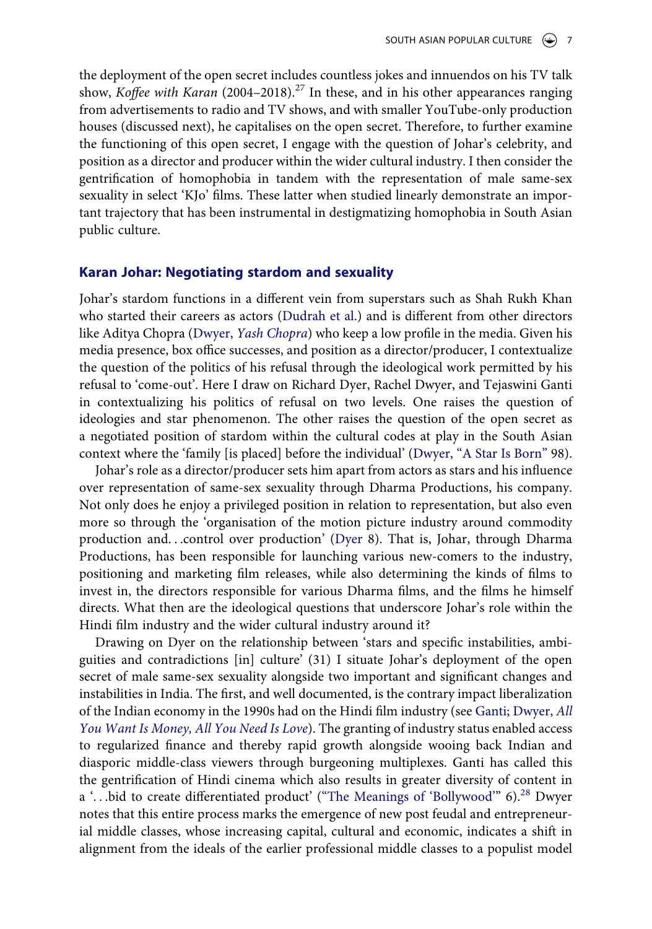the deployment of the open secret includes countless jokes and innuendos on his TV talk show, *Koffee with Karan* (2004–2018).<sup>27</sup> In these, and in his other appearances ranging from advertisements to radio and TV shows, and with smaller YouTube-only production houses (discussed next), he capitalises on the open secret. Therefore, to further examine the functioning of this open secret, I engage with the question of Johar's celebrity, and position as a director and producer within the wider cultural industry. I then consider the gentrification of homophobia in tandem with the representation of male same-sex sexuality in select 'KJo' films. These latter when studied linearly demonstrate an important trajectory that has been instrumental in destigmatizing homophobia in South Asian public culture.

## **Karan Johar: Negotiating stardom and sexuality**

<span id="page-7-1"></span><span id="page-7-0"></span>Johar's stardom functions in a different vein from superstars such as Shah Rukh Khan who started their careers as actors ([Dudrah et al.](#page-19-6)) and is different from other directors like Aditya Chopra (Dwyer, *[Yash Chopra](#page-19-7)*) who keep a low profile in the media. Given his media presence, box office successes, and position as a director/producer, I contextualize the question of the politics of his refusal through the ideological work permitted by his refusal to 'come-out'. Here I draw on Richard Dyer, Rachel Dwyer, and Tejaswini Ganti in contextualizing his politics of refusal on two levels. One raises the question of ideologies and star phenomenon. The other raises the question of the open secret as a negotiated position of stardom within the cultural codes at play in the South Asian context where the 'family [is placed] before the individual' ([Dwyer, "A Star Is Born"](#page-19-5) 98).

Johar's role as a director/producer sets him apart from actors as stars and his influence over representation of same-sex sexuality through Dharma Productions, his company. Not only does he enjoy a privileged position in relation to representation, but also even more so through the 'organisation of the motion picture industry around commodity production and. . .control over production' [\(Dyer](#page-19-0) 8). That is, Johar, through Dharma Productions, has been responsible for launching various new-comers to the industry, positioning and marketing film releases, while also determining the kinds of films to invest in, the directors responsible for various Dharma films, and the films he himself directs. What then are the ideological questions that underscore Johar's role within the Hindi film industry and the wider cultural industry around it?

<span id="page-7-2"></span>Drawing on Dyer on the relationship between 'stars and specific instabilities, ambiguities and contradictions [in] culture' (31) I situate Johar's deployment of the open secret of male same-sex sexuality alongside two important and significant changes and instabilities in India. The first, and well documented, is the contrary impact liberalization of the Indian economy in the 1990s had on the Hindi film industry (see [Ganti;](#page-20-5) [Dwyer,](#page-19-4) *All [You Want Is Money, All You Need Is Love](#page-19-4)*). The granting of industry status enabled access to regularized finance and thereby rapid growth alongside wooing back Indian and diasporic middle-class viewers through burgeoning multiplexes. Ganti has called this the gentrification of Hindi cinema which also results in greater diversity of content in a '...bid to create differentiated product' (["The Meanings of 'Bollywood'"](#page-21-4) 6).<sup>[28](#page-18-2)</sup> Dwyer notes that this entire process marks the emergence of new post feudal and entrepreneurial middle classes, whose increasing capital, cultural and economic, indicates a shift in alignment from the ideals of the earlier professional middle classes to a populist model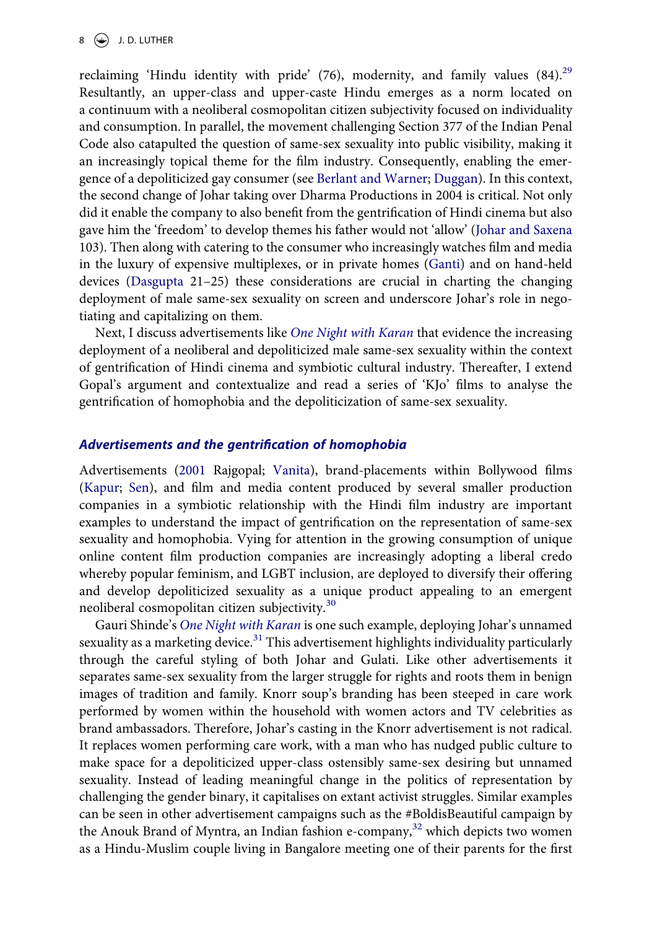#### 8  $\bigodot$  J.D. LUTHER

<span id="page-8-0"></span>reclaiming 'Hindu identity with pride'  $(76)$ , modernity, and family values  $(84)$ <sup>[29](#page-18-3)</sup> Resultantly, an upper-class and upper-caste Hindu emerges as a norm located on a continuum with a neoliberal cosmopolitan citizen subjectivity focused on individuality and consumption. In parallel, the movement challenging Section 377 of the Indian Penal Code also catapulted the question of same-sex sexuality into public visibility, making it an increasingly topical theme for the film industry. Consequently, enabling the emergence of a depoliticized gay consumer (see [Berlant and Warner;](#page-19-8) [Duggan\)](#page-19-1). In this context, the second change of Johar taking over Dharma Productions in 2004 is critical. Not only did it enable the company to also benefit from the gentrification of Hindi cinema but also gave him the 'freedom' to develop themes his father would not 'allow' ([Johar and Saxena](#page-20-1) 103). Then along with catering to the consumer who increasingly watches film and media in the luxury of expensive multiplexes, or in private homes [\(Ganti](#page-20-5)) and on hand-held devices ([Dasgupta](#page-19-9) 21–25) these considerations are crucial in charting the changing deployment of male same-sex sexuality on screen and underscore Johar's role in negotiating and capitalizing on them.

<span id="page-8-1"></span>Next, I discuss advertisements like *[One Night with Karan](#page-22-0)* that evidence the increasing deployment of a neoliberal and depoliticized male same-sex sexuality within the context of gentrification of Hindi cinema and symbiotic cultural industry. Thereafter, I extend Gopal's argument and contextualize and read a series of 'KJo' films to analyse the gentrification of homophobia and the depoliticization of same-sex sexuality.

#### *Advertisements and the gentrification of homophobia*

<span id="page-8-3"></span><span id="page-8-2"></span>Advertisements ([2001](#page-21-5) Rajgopal; [Vanita\)](#page-21-6), brand-placements within Bollywood films ([Kapur](#page-20-10); [Sen\)](#page-21-7), and film and media content produced by several smaller production companies in a symbiotic relationship with the Hindi film industry are important examples to understand the impact of gentrification on the representation of same-sex sexuality and homophobia. Vying for attention in the growing consumption of unique online content film production companies are increasingly adopting a liberal credo whereby popular feminism, and LGBT inclusion, are deployed to diversify their offering and develop depoliticized sexuality as a unique product appealing to an emergent neoliberal cosmopolitan citizen subjectivity.<sup>[30](#page-18-4)</sup>

Gauri Shinde's *[One Night with Karan](#page-22-0)* is one such example, deploying Johar's unnamed sexuality as a marketing device.<sup>31</sup> This advertisement highlights individuality particularly through the careful styling of both Johar and Gulati. Like other advertisements it separates same-sex sexuality from the larger struggle for rights and roots them in benign images of tradition and family. Knorr soup's branding has been steeped in care work performed by women within the household with women actors and TV celebrities as brand ambassadors. Therefore, Johar's casting in the Knorr advertisement is not radical. It replaces women performing care work, with a man who has nudged public culture to make space for a depoliticized upper-class ostensibly same-sex desiring but unnamed sexuality. Instead of leading meaningful change in the politics of representation by challenging the gender binary, it capitalises on extant activist struggles. Similar examples can be seen in other advertisement campaigns such as the #BoldisBeautiful campaign by the Anouk Brand of Myntra, an Indian fashion e-company, $32$  which depicts two women as a Hindu-Muslim couple living in Bangalore meeting one of their parents for the first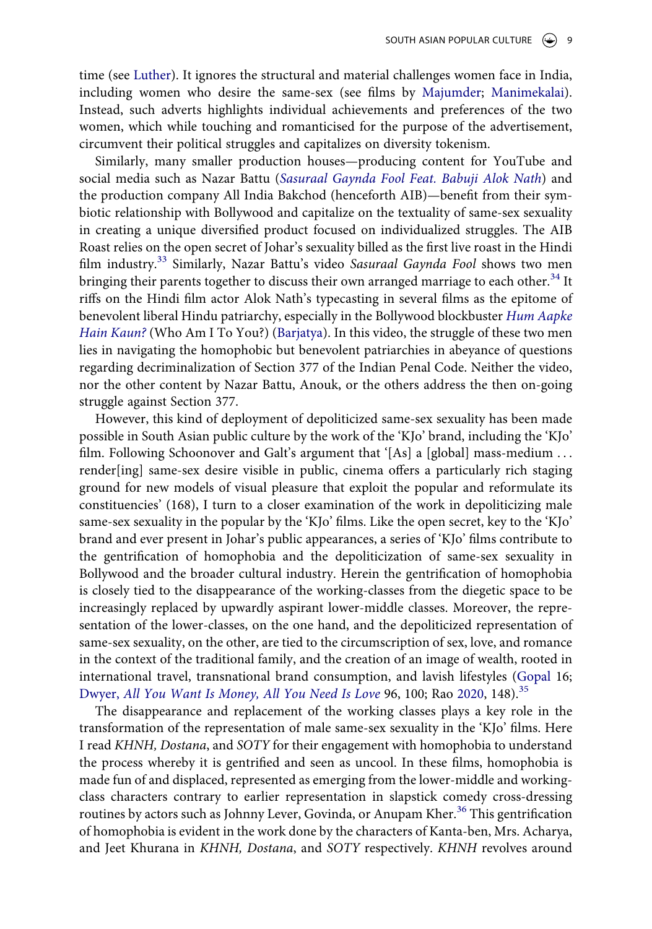<span id="page-9-3"></span><span id="page-9-0"></span>time (see [Luther](#page-20-11)). It ignores the structural and material challenges women face in India, including women who desire the same-sex (see films by [Majumder](#page-22-3); [Manimekalai](#page-22-3)). Instead, such adverts highlights individual achievements and preferences of the two women, which while touching and romanticised for the purpose of the advertisement, circumvent their political struggles and capitalizes on diversity tokenism.

<span id="page-9-4"></span>Similarly, many smaller production houses—producing content for YouTube and social media such as Nazar Battu (*[Sasuraal Gaynda Fool Feat. Babuji Alok Nath](#page-22-4)*) and the production company All India Bakchod (henceforth AIB)—benefit from their symbiotic relationship with Bollywood and capitalize on the textuality of same-sex sexuality in creating a unique diversified product focused on individualized struggles. The AIB Roast relies on the open secret of Johar's sexuality billed as the first live roast in the Hindi film industry.[33](#page-18-7) Similarly, Nazar Battu's video *Sasuraal Gaynda Fool* shows two men bringing their parents together to discuss their own arranged marriage to each other.<sup>34</sup> It riffs on the Hindi film actor Alok Nath's typecasting in several films as the epitome of benevolent liberal Hindu patriarchy, especially in the Bollywood blockbuster *[Hum Aapke](#page-22-5) [Hain Kaun?](#page-22-5)* (Who Am I To You?) ([Barjatya](#page-22-5)). In this video, the struggle of these two men lies in navigating the homophobic but benevolent patriarchies in abeyance of questions regarding decriminalization of Section 377 of the Indian Penal Code. Neither the video, nor the other content by Nazar Battu, Anouk, or the others address the then on-going struggle against Section 377.

<span id="page-9-2"></span>However, this kind of deployment of depoliticized same-sex sexuality has been made possible in South Asian public culture by the work of the 'KJo' brand, including the 'KJo' film. Following Schoonover and Galt's argument that '[As] a [global] mass-medium ... render[ing] same-sex desire visible in public, cinema offers a particularly rich staging ground for new models of visual pleasure that exploit the popular and reformulate its constituencies' (168), I turn to a closer examination of the work in depoliticizing male same-sex sexuality in the popular by the 'KJo' films. Like the open secret, key to the 'KJo' brand and ever present in Johar's public appearances, a series of 'KJo' films contribute to the gentrification of homophobia and the depoliticization of same-sex sexuality in Bollywood and the broader cultural industry. Herein the gentrification of homophobia is closely tied to the disappearance of the working-classes from the diegetic space to be increasingly replaced by upwardly aspirant lower-middle classes. Moreover, the representation of the lower-classes, on the one hand, and the depoliticized representation of same-sex sexuality, on the other, are tied to the circumscription of sex, love, and romance in the context of the traditional family, and the creation of an image of wealth, rooted in international travel, transnational brand consumption, and lavish lifestyles [\(Gopal](#page-20-0) 16; Dwyer, *[All You Want Is Money, All You Need Is Love](#page-19-4)* 96, 100; Rao [2020](#page-21-8), 148).[35](#page-18-9)

<span id="page-9-1"></span>The disappearance and replacement of the working classes plays a key role in the transformation of the representation of male same-sex sexuality in the 'KJo' films. Here I read *KHNH, Dostana*, and *SOTY* for their engagement with homophobia to understand the process whereby it is gentrified and seen as uncool. In these films, homophobia is made fun of and displaced, represented as emerging from the lower-middle and workingclass characters contrary to earlier representation in slapstick comedy cross-dressing routines by actors such as Johnny Lever, Govinda, or Anupam Kher.<sup>[36](#page-18-10)</sup> This gentrification of homophobia is evident in the work done by the characters of Kanta-ben, Mrs. Acharya, and Jeet Khurana in *KHNH, Dostana*, and *SOTY* respectively. *KHNH* revolves around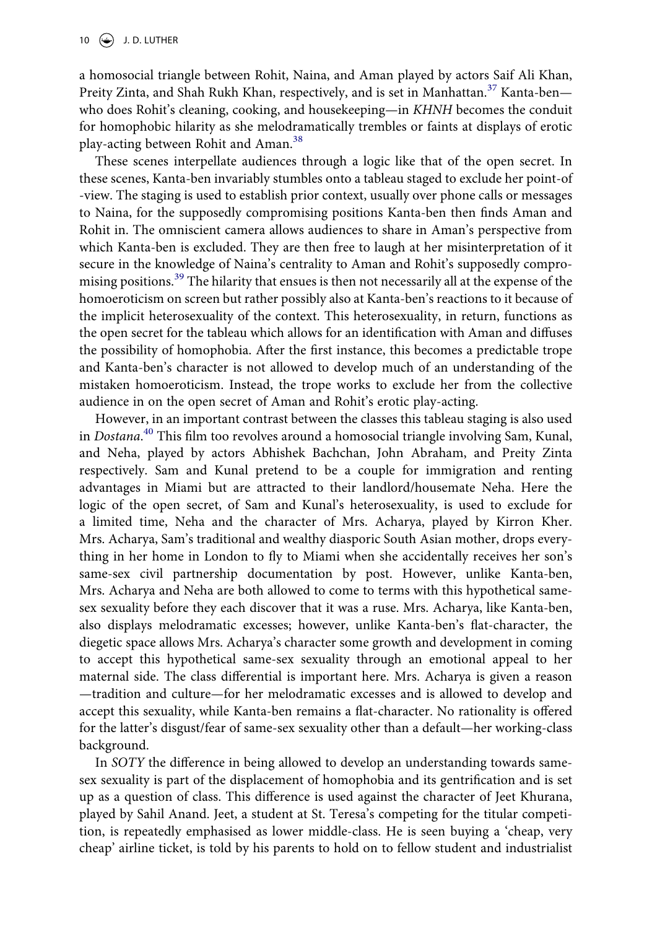a homosocial triangle between Rohit, Naina, and Aman played by actors Saif Ali Khan, Preity Zinta, and Shah Rukh Khan, respectively, and is set in Manhattan.<sup>[37](#page-18-11)</sup> Kanta-ben who does Rohit's cleaning, cooking, and housekeeping—in *KHNH* becomes the conduit for homophobic hilarity as she melodramatically trembles or faints at displays of erotic play-acting between Rohit and Aman.<sup>[38](#page-18-12)</sup>

These scenes interpellate audiences through a logic like that of the open secret. In these scenes, Kanta-ben invariably stumbles onto a tableau staged to exclude her point-of -view. The staging is used to establish prior context, usually over phone calls or messages to Naina, for the supposedly compromising positions Kanta-ben then finds Aman and Rohit in. The omniscient camera allows audiences to share in Aman's perspective from which Kanta-ben is excluded. They are then free to laugh at her misinterpretation of it secure in the knowledge of Naina's centrality to Aman and Rohit's supposedly compro-mising positions.<sup>[39](#page-18-13)</sup> The hilarity that ensues is then not necessarily all at the expense of the homoeroticism on screen but rather possibly also at Kanta-ben's reactions to it because of the implicit heterosexuality of the context. This heterosexuality, in return, functions as the open secret for the tableau which allows for an identification with Aman and diffuses the possibility of homophobia. After the first instance, this becomes a predictable trope and Kanta-ben's character is not allowed to develop much of an understanding of the mistaken homoeroticism. Instead, the trope works to exclude her from the collective audience in on the open secret of Aman and Rohit's erotic play-acting.

However, in an important contrast between the classes this tableau staging is also used in *Dostana*. [40](#page-18-14) This film too revolves around a homosocial triangle involving Sam, Kunal, and Neha, played by actors Abhishek Bachchan, John Abraham, and Preity Zinta respectively. Sam and Kunal pretend to be a couple for immigration and renting advantages in Miami but are attracted to their landlord/housemate Neha. Here the logic of the open secret, of Sam and Kunal's heterosexuality, is used to exclude for a limited time, Neha and the character of Mrs. Acharya, played by Kirron Kher. Mrs. Acharya, Sam's traditional and wealthy diasporic South Asian mother, drops everything in her home in London to fly to Miami when she accidentally receives her son's same-sex civil partnership documentation by post. However, unlike Kanta-ben, Mrs. Acharya and Neha are both allowed to come to terms with this hypothetical samesex sexuality before they each discover that it was a ruse. Mrs. Acharya, like Kanta-ben, also displays melodramatic excesses; however, unlike Kanta-ben's flat-character, the diegetic space allows Mrs. Acharya's character some growth and development in coming to accept this hypothetical same-sex sexuality through an emotional appeal to her maternal side. The class differential is important here. Mrs. Acharya is given a reason —tradition and culture—for her melodramatic excesses and is allowed to develop and accept this sexuality, while Kanta-ben remains a flat-character. No rationality is offered for the latter's disgust/fear of same-sex sexuality other than a default—her working-class background.

In *SOTY* the difference in being allowed to develop an understanding towards samesex sexuality is part of the displacement of homophobia and its gentrification and is set up as a question of class. This difference is used against the character of Jeet Khurana, played by Sahil Anand. Jeet, a student at St. Teresa's competing for the titular competition, is repeatedly emphasised as lower middle-class. He is seen buying a 'cheap, very cheap' airline ticket, is told by his parents to hold on to fellow student and industrialist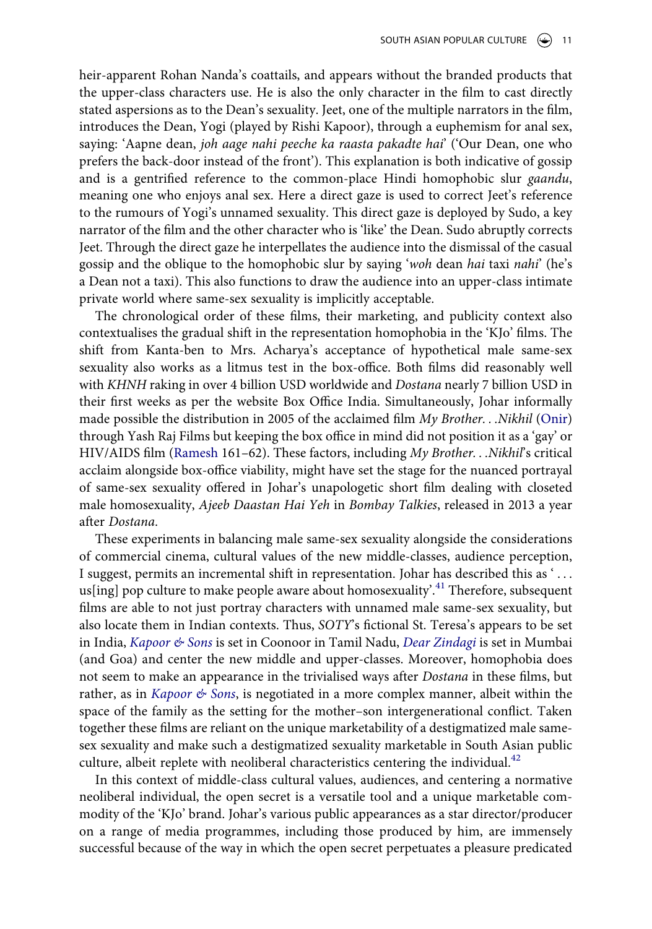heir-apparent Rohan Nanda's coattails, and appears without the branded products that the upper-class characters use. He is also the only character in the film to cast directly stated aspersions as to the Dean's sexuality. Jeet, one of the multiple narrators in the film, introduces the Dean, Yogi (played by Rishi Kapoor), through a euphemism for anal sex, saying: 'Aapne dean, *joh aage nahi peeche ka raasta pakadte hai*' ('Our Dean, one who prefers the back-door instead of the front'). This explanation is both indicative of gossip and is a gentrified reference to the common-place Hindi homophobic slur *gaandu*, meaning one who enjoys anal sex. Here a direct gaze is used to correct Jeet's reference to the rumours of Yogi's unnamed sexuality. This direct gaze is deployed by Sudo, a key narrator of the film and the other character who is 'like' the Dean. Sudo abruptly corrects Jeet. Through the direct gaze he interpellates the audience into the dismissal of the casual gossip and the oblique to the homophobic slur by saying '*woh* dean *hai* taxi *nahi*' (he's a Dean not a taxi). This also functions to draw the audience into an upper-class intimate private world where same-sex sexuality is implicitly acceptable.

<span id="page-11-3"></span>The chronological order of these films, their marketing, and publicity context also contextualises the gradual shift in the representation homophobia in the 'KJo' films. The shift from Kanta-ben to Mrs. Acharya's acceptance of hypothetical male same-sex sexuality also works as a litmus test in the box-office. Both films did reasonably well with *KHNH* raking in over 4 billion USD worldwide and *Dostana* nearly 7 billion USD in their first weeks as per the website Box Office India. Simultaneously, Johar informally made possible the distribution in 2005 of the acclaimed film *My Brother. . .Nikhil* [\(Onir\)](#page-22-6) through Yash Raj Films but keeping the box office in mind did not position it as a 'gay' or HIV/AIDS film [\(Ramesh](#page-21-9) 161–62). These factors, including *My Brother. . .Nikhil*'s critical acclaim alongside box-office viability, might have set the stage for the nuanced portrayal of same-sex sexuality offered in Johar's unapologetic short film dealing with closeted male homosexuality, *Ajeeb Daastan Hai Yeh* in *Bombay Talkies*, released in 2013 a year after *Dostana*.

<span id="page-11-1"></span><span id="page-11-0"></span>These experiments in balancing male same-sex sexuality alongside the considerations of commercial cinema, cultural values of the new middle-classes, audience perception, I suggest, permits an incremental shift in representation. Johar has described this as ' . . . us[ing] pop culture to make people aware about homosexuality'.<sup>[41](#page-18-15)</sup> Therefore, subsequent films are able to not just portray characters with unnamed male same-sex sexuality, but also locate them in Indian contexts. Thus, *SOTY*'s fictional St. Teresa's appears to be set in India, *[Kapoor & Sons](#page-22-7)* is set in Coonoor in Tamil Nadu, *[Dear Zindagi](#page-21-10)* is set in Mumbai (and Goa) and center the new middle and upper-classes. Moreover, homophobia does not seem to make an appearance in the trivialised ways after *Dostana* in these films, but rather, as in *[Kapoor & Sons](#page-22-7)*, is negotiated in a more complex manner, albeit within the space of the family as the setting for the mother–son intergenerational conflict. Taken together these films are reliant on the unique marketability of a destigmatized male samesex sexuality and make such a destigmatized sexuality marketable in South Asian public culture, albeit replete with neoliberal characteristics centering the individual. $42$ 

<span id="page-11-2"></span>In this context of middle-class cultural values, audiences, and centering a normative neoliberal individual, the open secret is a versatile tool and a unique marketable commodity of the 'KJo' brand. Johar's various public appearances as a star director/producer on a range of media programmes, including those produced by him, are immensely successful because of the way in which the open secret perpetuates a pleasure predicated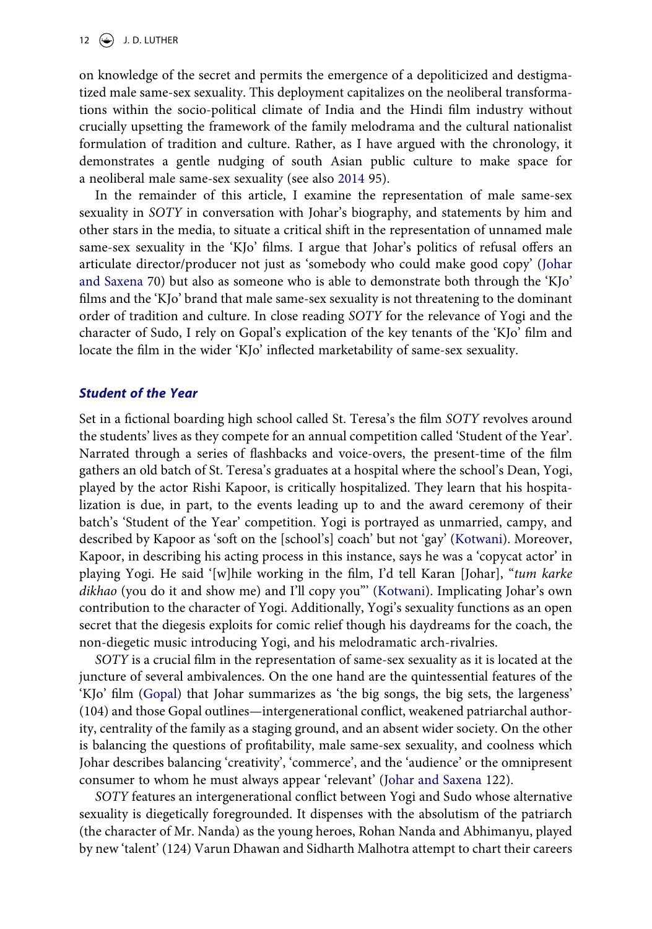on knowledge of the secret and permits the emergence of a depoliticized and destigmatized male same-sex sexuality. This deployment capitalizes on the neoliberal transformations within the socio-political climate of India and the Hindi film industry without crucially upsetting the framework of the family melodrama and the cultural nationalist formulation of tradition and culture. Rather, as I have argued with the chronology, it demonstrates a gentle nudging of south Asian public culture to make space for a neoliberal male same-sex sexuality (see also [2014](#page-19-10) 95).

<span id="page-12-0"></span>In the remainder of this article, I examine the representation of male same-sex sexuality in *SOTY* in conversation with Johar's biography, and statements by him and other stars in the media, to situate a critical shift in the representation of unnamed male same-sex sexuality in the 'KJo' films. I argue that Johar's politics of refusal offers an articulate director/producer not just as 'somebody who could make good copy' [\(Johar](#page-20-1) [and Saxena](#page-20-1) 70) but also as someone who is able to demonstrate both through the 'KJo' films and the 'KJo' brand that male same-sex sexuality is not threatening to the dominant order of tradition and culture. In close reading *SOTY* for the relevance of Yogi and the character of Sudo, I rely on Gopal's explication of the key tenants of the 'KJo' film and locate the film in the wider 'KJo' inflected marketability of same-sex sexuality.

#### *Student of the Year*

Set in a fictional boarding high school called St. Teresa's the film *SOTY* revolves around the students' lives as they compete for an annual competition called 'Student of the Year'. Narrated through a series of flashbacks and voice-overs, the present-time of the film gathers an old batch of St. Teresa's graduates at a hospital where the school's Dean, Yogi, played by the actor Rishi Kapoor, is critically hospitalized. They learn that his hospitalization is due, in part, to the events leading up to and the award ceremony of their batch's 'Student of the Year' competition. Yogi is portrayed as unmarried, campy, and described by Kapoor as 'soft on the [school's] coach' but not 'gay' [\(Kotwani](#page-20-12)). Moreover, Kapoor, in describing his acting process in this instance, says he was a 'copycat actor' in playing Yogi. He said '[w]hile working in the film, I'd tell Karan [Johar], "*tum karke dikhao* (you do it and show me) and I'll copy you"' ([Kotwani\)](#page-20-12). Implicating Johar's own contribution to the character of Yogi. Additionally, Yogi's sexuality functions as an open secret that the diegesis exploits for comic relief though his daydreams for the coach, the non-diegetic music introducing Yogi, and his melodramatic arch-rivalries.

<span id="page-12-1"></span>*SOTY* is a crucial film in the representation of same-sex sexuality as it is located at the juncture of several ambivalences. On the one hand are the quintessential features of the 'KJo' film [\(Gopal](#page-20-0)) that Johar summarizes as 'the big songs, the big sets, the largeness' (104) and those Gopal outlines—intergenerational conflict, weakened patriarchal authority, centrality of the family as a staging ground, and an absent wider society. On the other is balancing the questions of profitability, male same-sex sexuality, and coolness which Johar describes balancing 'creativity', 'commerce', and the 'audience' or the omnipresent consumer to whom he must always appear 'relevant' ([Johar and Saxena](#page-20-1) 122).

*SOTY* features an intergenerational conflict between Yogi and Sudo whose alternative sexuality is diegetically foregrounded. It dispenses with the absolutism of the patriarch (the character of Mr. Nanda) as the young heroes, Rohan Nanda and Abhimanyu, played by new 'talent' (124) Varun Dhawan and Sidharth Malhotra attempt to chart their careers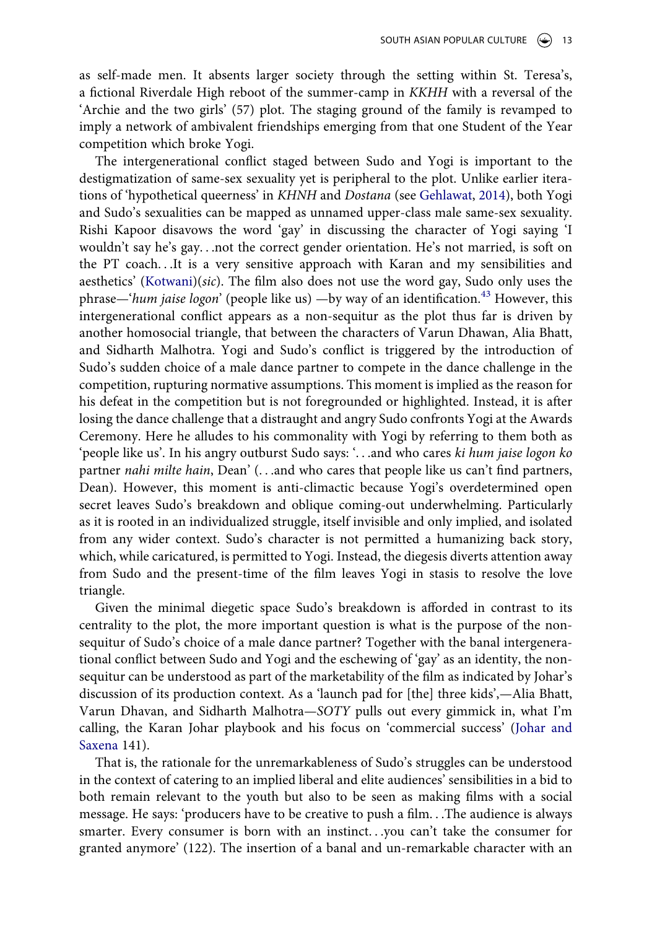as self-made men. It absents larger society through the setting within St. Teresa's, a fictional Riverdale High reboot of the summer-camp in *KKHH* with a reversal of the 'Archie and the two girls' (57) plot. The staging ground of the family is revamped to imply a network of ambivalent friendships emerging from that one Student of the Year competition which broke Yogi.

<span id="page-13-0"></span>The intergenerational conflict staged between Sudo and Yogi is important to the destigmatization of same-sex sexuality yet is peripheral to the plot. Unlike earlier iterations of 'hypothetical queerness' in *KHNH* and *Dostana* (see [Gehlawat](#page-20-13), [2014\)](#page-19-10), both Yogi and Sudo's sexualities can be mapped as unnamed upper-class male same-sex sexuality. Rishi Kapoor disavows the word 'gay' in discussing the character of Yogi saying 'I wouldn't say he's gay. . .not the correct gender orientation. He's not married, is soft on the PT coach. . .It is a very sensitive approach with Karan and my sensibilities and aesthetics' ([Kotwani\)](#page-20-12)(*sic*). The film also does not use the word gay, Sudo only uses the phrase—'*hum jaise logon*' (people like us) —by way of an identification.<sup>43</sup> However, this intergenerational conflict appears as a non-sequitur as the plot thus far is driven by another homosocial triangle, that between the characters of Varun Dhawan, Alia Bhatt, and Sidharth Malhotra. Yogi and Sudo's conflict is triggered by the introduction of Sudo's sudden choice of a male dance partner to compete in the dance challenge in the competition, rupturing normative assumptions. This moment is implied as the reason for his defeat in the competition but is not foregrounded or highlighted. Instead, it is after losing the dance challenge that a distraught and angry Sudo confronts Yogi at the Awards Ceremony. Here he alludes to his commonality with Yogi by referring to them both as 'people like us'. In his angry outburst Sudo says: '. . .and who cares *ki hum jaise logon ko*  partner *nahi milte hain*, Dean' (...and who cares that people like us can't find partners, Dean). However, this moment is anti-climactic because Yogi's overdetermined open secret leaves Sudo's breakdown and oblique coming-out underwhelming. Particularly as it is rooted in an individualized struggle, itself invisible and only implied, and isolated from any wider context. Sudo's character is not permitted a humanizing back story, which, while caricatured, is permitted to Yogi. Instead, the diegesis diverts attention away from Sudo and the present-time of the film leaves Yogi in stasis to resolve the love triangle.

Given the minimal diegetic space Sudo's breakdown is afforded in contrast to its centrality to the plot, the more important question is what is the purpose of the nonsequitur of Sudo's choice of a male dance partner? Together with the banal intergenerational conflict between Sudo and Yogi and the eschewing of 'gay' as an identity, the nonsequitur can be understood as part of the marketability of the film as indicated by Johar's discussion of its production context. As a 'launch pad for [the] three kids',—Alia Bhatt, Varun Dhavan, and Sidharth Malhotra—*SOTY* pulls out every gimmick in, what I'm calling, the Karan Johar playbook and his focus on 'commercial success' ([Johar and](#page-20-1) [Saxena](#page-20-1) 141).

That is, the rationale for the unremarkableness of Sudo's struggles can be understood in the context of catering to an implied liberal and elite audiences' sensibilities in a bid to both remain relevant to the youth but also to be seen as making films with a social message. He says: 'producers have to be creative to push a film. . .The audience is always smarter. Every consumer is born with an instinct. . .you can't take the consumer for granted anymore' (122). The insertion of a banal and un-remarkable character with an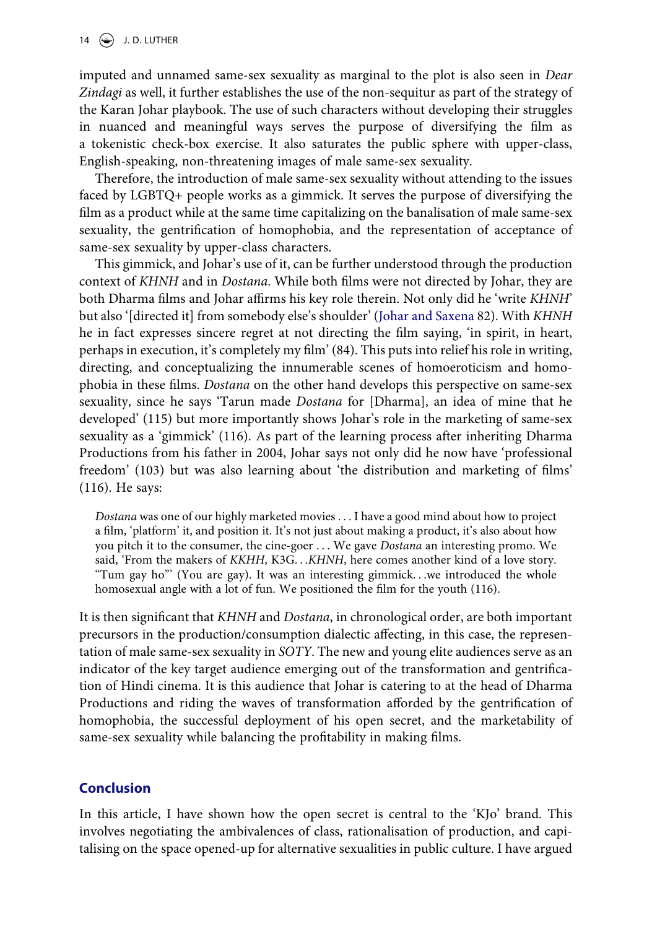imputed and unnamed same-sex sexuality as marginal to the plot is also seen in *Dear Zindagi* as well, it further establishes the use of the non-sequitur as part of the strategy of the Karan Johar playbook. The use of such characters without developing their struggles in nuanced and meaningful ways serves the purpose of diversifying the film as a tokenistic check-box exercise. It also saturates the public sphere with upper-class, English-speaking, non-threatening images of male same-sex sexuality.

Therefore, the introduction of male same-sex sexuality without attending to the issues faced by LGBTQ+ people works as a gimmick. It serves the purpose of diversifying the film as a product while at the same time capitalizing on the banalisation of male same-sex sexuality, the gentrification of homophobia, and the representation of acceptance of same-sex sexuality by upper-class characters.

This gimmick, and Johar's use of it, can be further understood through the production context of *KHNH* and in *Dostana*. While both films were not directed by Johar, they are both Dharma films and Johar affirms his key role therein. Not only did he 'write *KHNH*' but also '[directed it] from somebody else's shoulder' ([Johar and Saxena](#page-20-1) 82). With *KHNH*  he in fact expresses sincere regret at not directing the film saying, 'in spirit, in heart, perhaps in execution, it's completely my film' (84). This puts into relief his role in writing, directing, and conceptualizing the innumerable scenes of homoeroticism and homophobia in these films. *Dostana* on the other hand develops this perspective on same-sex sexuality, since he says 'Tarun made *Dostana* for [Dharma], an idea of mine that he developed' (115) but more importantly shows Johar's role in the marketing of same-sex sexuality as a 'gimmick' (116). As part of the learning process after inheriting Dharma Productions from his father in 2004, Johar says not only did he now have 'professional freedom' (103) but was also learning about 'the distribution and marketing of films' (116). He says:

*Dostana* was one of our highly marketed movies . . . I have a good mind about how to project a film, 'platform' it, and position it. It's not just about making a product, it's also about how you pitch it to the consumer, the cine-goer . . . We gave *Dostana* an interesting promo. We said, 'From the makers of *KKHH*, K3G. . .*KHNH*, here comes another kind of a love story. "Tum gay ho"' (You are gay). It was an interesting gimmick. . .we introduced the whole homosexual angle with a lot of fun. We positioned the film for the youth (116).

It is then significant that *KHNH* and *Dostana*, in chronological order, are both important precursors in the production/consumption dialectic affecting, in this case, the representation of male same-sex sexuality in *SOTY*. The new and young elite audiences serve as an indicator of the key target audience emerging out of the transformation and gentrification of Hindi cinema. It is this audience that Johar is catering to at the head of Dharma Productions and riding the waves of transformation afforded by the gentrification of homophobia, the successful deployment of his open secret, and the marketability of same-sex sexuality while balancing the profitability in making films.

# **Conclusion**

In this article, I have shown how the open secret is central to the 'KJo' brand. This involves negotiating the ambivalences of class, rationalisation of production, and capitalising on the space opened-up for alternative sexualities in public culture. I have argued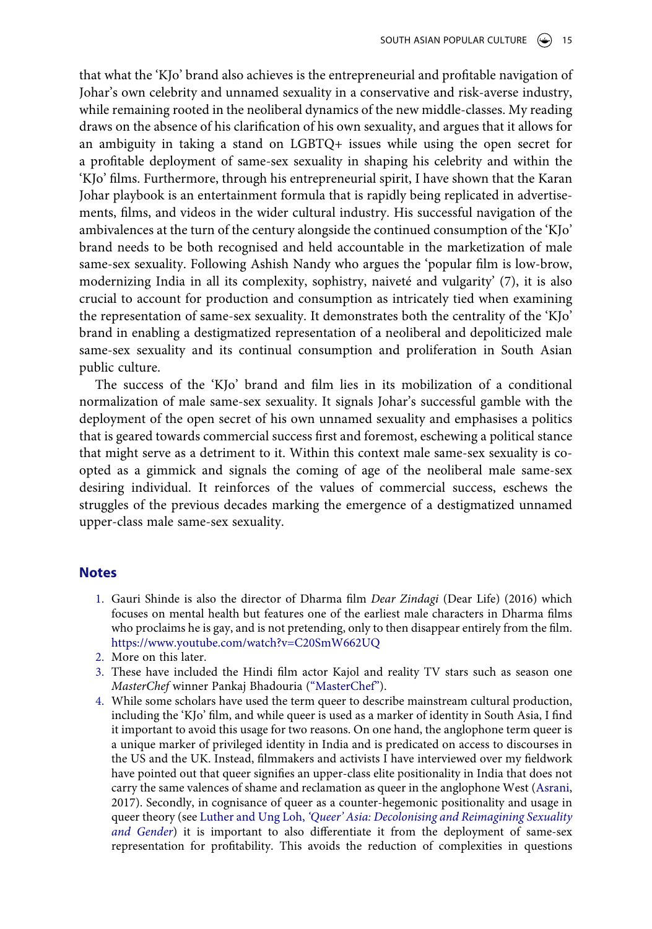that what the 'KJo' brand also achieves is the entrepreneurial and profitable navigation of Johar's own celebrity and unnamed sexuality in a conservative and risk-averse industry, while remaining rooted in the neoliberal dynamics of the new middle-classes. My reading draws on the absence of his clarification of his own sexuality, and argues that it allows for an ambiguity in taking a stand on LGBTQ+ issues while using the open secret for a profitable deployment of same-sex sexuality in shaping his celebrity and within the 'KJo' films. Furthermore, through his entrepreneurial spirit, I have shown that the Karan Johar playbook is an entertainment formula that is rapidly being replicated in advertisements, films, and videos in the wider cultural industry. His successful navigation of the ambivalences at the turn of the century alongside the continued consumption of the 'KJo' brand needs to be both recognised and held accountable in the marketization of male same-sex sexuality. Following Ashish Nandy who argues the 'popular film is low-brow, modernizing India in all its complexity, sophistry, naiveté and vulgarity' (7), it is also crucial to account for production and consumption as intricately tied when examining the representation of same-sex sexuality. It demonstrates both the centrality of the 'KJo' brand in enabling a destigmatized representation of a neoliberal and depoliticized male same-sex sexuality and its continual consumption and proliferation in South Asian public culture.

The success of the 'KJo' brand and film lies in its mobilization of a conditional normalization of male same-sex sexuality. It signals Johar's successful gamble with the deployment of the open secret of his own unnamed sexuality and emphasises a politics that is geared towards commercial success first and foremost, eschewing a political stance that might serve as a detriment to it. Within this context male same-sex sexuality is coopted as a gimmick and signals the coming of age of the neoliberal male same-sex desiring individual. It reinforces of the values of commercial success, eschews the struggles of the previous decades marking the emergence of a destigmatized unnamed upper-class male same-sex sexuality.

#### **Notes**

- <span id="page-15-0"></span>1. Gauri Shinde is also the director of Dharma film *Dear Zindagi* (Dear Life) (2016) which focuses on mental health but features one of the earliest male characters in Dharma films who proclaims he is gay, and is not pretending, only to then disappear entirely from the film. <https://www.youtube.com/watch?v=C20SmW662UQ>
- <span id="page-15-1"></span>2. More on this later.
- <span id="page-15-2"></span>3. These have included the Hindi film actor Kajol and reality TV stars such as season one *MasterChef* winner Pankaj Bhadouria (["MasterChef"](#page-22-8)).
- <span id="page-15-4"></span><span id="page-15-3"></span>4. While some scholars have used the term queer to describe mainstream cultural production, including the 'KJo' film, and while queer is used as a marker of identity in South Asia, I find it important to avoid this usage for two reasons. On one hand, the anglophone term queer is a unique marker of privileged identity in India and is predicated on access to discourses in the US and the UK. Instead, filmmakers and activists I have interviewed over my fieldwork have pointed out that queer signifies an upper-class elite positionality in India that does not carry the same valences of shame and reclamation as queer in the anglophone West ([Asrani](#page-19-2), 2017). Secondly, in cognisance of queer as a counter-hegemonic positionality and usage in queer theory (see Luther and Ung Loh, *['Queer' Asia: Decolonising and Reimagining Sexuality](#page-20-14) [and Gender](#page-20-14)*) it is important to also differentiate it from the deployment of same-sex representation for profitability. This avoids the reduction of complexities in questions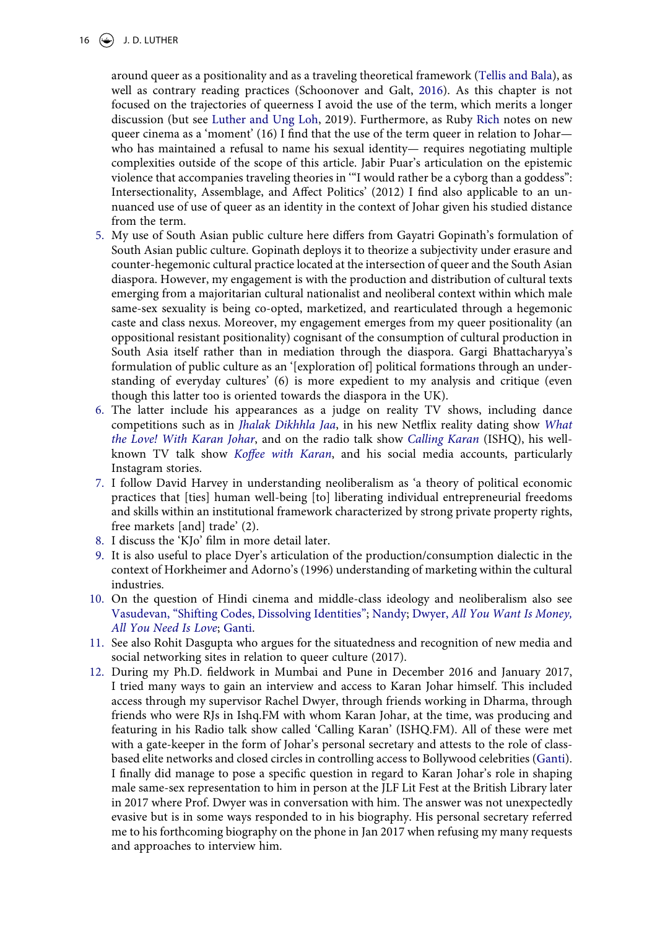<span id="page-16-11"></span>16  $\bigodot$  J.D. LUTHER

<span id="page-16-10"></span><span id="page-16-9"></span>around queer as a positionality and as a traveling theoretical framework [\(Tellis and Bala\)](#page-21-11), as well as contrary reading practices (Schoonover and Galt, [2016](#page-21-12)). As this chapter is not focused on the trajectories of queerness I avoid the use of the term, which merits a longer discussion (but see [Luther and Ung Loh,](#page-20-14) 2019). Furthermore, as Ruby [Rich](#page-21-13) notes on new queer cinema as a 'moment' (16) I find that the use of the term queer in relation to Johar who has maintained a refusal to name his sexual identity— requires negotiating multiple complexities outside of the scope of this article. Jabir Puar's articulation on the epistemic violence that accompanies traveling theories in '"I would rather be a cyborg than a goddess": Intersectionality, Assemblage, and Affect Politics' (2012) I find also applicable to an unnuanced use of use of queer as an identity in the context of Johar given his studied distance from the term.

- <span id="page-16-0"></span>5. My use of South Asian public culture here differs from Gayatri Gopinath's formulation of South Asian public culture. Gopinath deploys it to theorize a subjectivity under erasure and counter-hegemonic cultural practice located at the intersection of queer and the South Asian diaspora. However, my engagement is with the production and distribution of cultural texts emerging from a majoritarian cultural nationalist and neoliberal context within which male same-sex sexuality is being co-opted, marketized, and rearticulated through a hegemonic caste and class nexus. Moreover, my engagement emerges from my queer positionality (an oppositional resistant positionality) cognisant of the consumption of cultural production in South Asia itself rather than in mediation through the diaspora. Gargi Bhattacharyya's formulation of public culture as an '[exploration of] political formations through an understanding of everyday cultures' (6) is more expedient to my analysis and critique (even though this latter too is oriented towards the diaspora in the UK).
- <span id="page-16-12"></span><span id="page-16-1"></span>6. The latter include his appearances as a judge on reality TV shows, including dance competitions such as in *[Jhalak Dikhhla Jaa](#page-22-9)*, in his new Netflix reality dating show *[What](#page-22-10) [the Love! With Karan Johar](#page-22-10)*, and on the radio talk show *[Calling Karan](#page-21-14)* (ISHQ), his wellknown TV talk show *[Koffee with Karan](#page-22-11)*, and his social media accounts, particularly Instagram stories.
- <span id="page-16-2"></span>7. I follow David Harvey in understanding neoliberalism as 'a theory of political economic practices that [ties] human well-being [to] liberating individual entrepreneurial freedoms and skills within an institutional framework characterized by strong private property rights, free markets [and] trade' (2).
- <span id="page-16-3"></span>8. I discuss the 'KJo' film in more detail later.
- <span id="page-16-4"></span>9. It is also useful to place Dyer's articulation of the production/consumption dialectic in the context of Horkheimer and Adorno's (1996) understanding of marketing within the cultural industries.
- <span id="page-16-8"></span><span id="page-16-5"></span>10. On the question of Hindi cinema and middle-class ideology and neoliberalism also see [Vasudevan, "Shifting Codes, Dissolving Identities"](#page-21-15); [Nandy;](#page-20-15) Dwyer, *[All You Want Is Money,](#page-19-4) [All You Need Is Love](#page-19-4)*; [Ganti.](#page-20-5)
- <span id="page-16-6"></span>11. See also Rohit Dasgupta who argues for the situatedness and recognition of new media and social networking sites in relation to queer culture (2017).
- <span id="page-16-7"></span>12. During my Ph.D. fieldwork in Mumbai and Pune in December 2016 and January 2017, I tried many ways to gain an interview and access to Karan Johar himself. This included access through my supervisor Rachel Dwyer, through friends working in Dharma, through friends who were RJs in Ishq.FM with whom Karan Johar, at the time, was producing and featuring in his Radio talk show called 'Calling Karan' (ISHQ.FM). All of these were met with a gate-keeper in the form of Johar's personal secretary and attests to the role of classbased elite networks and closed circles in controlling access to Bollywood celebrities [\(Ganti\)](#page-20-5). I finally did manage to pose a specific question in regard to Karan Johar's role in shaping male same-sex representation to him in person at the JLF Lit Fest at the British Library later in 2017 where Prof. Dwyer was in conversation with him. The answer was not unexpectedly evasive but is in some ways responded to in his biography. His personal secretary referred me to his forthcoming biography on the phone in Jan 2017 when refusing my many requests and approaches to interview him.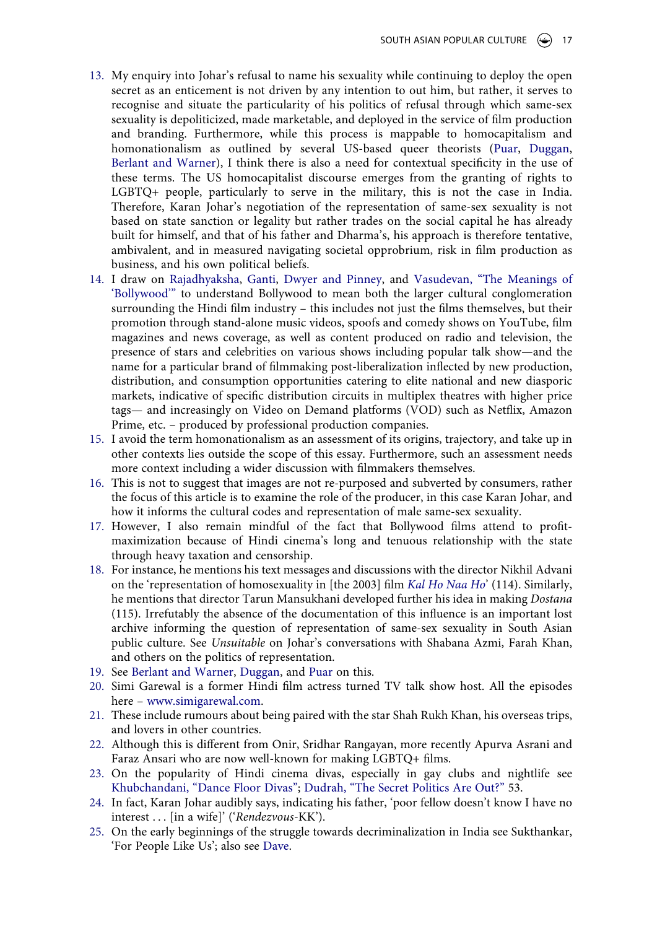- <span id="page-17-0"></span>13. My enquiry into Johar's refusal to name his sexuality while continuing to deploy the open secret as an enticement is not driven by any intention to out him, but rather, it serves to recognise and situate the particularity of his politics of refusal through which same-sex sexuality is depoliticized, made marketable, and deployed in the service of film production and branding. Furthermore, while this process is mappable to homocapitalism and homonationalism as outlined by several US-based queer theorists ([Puar,](#page-20-3) [Duggan,](#page-19-1) [Berlant and Warner](#page-19-8)), I think there is also a need for contextual specificity in the use of these terms. The US homocapitalist discourse emerges from the granting of rights to LGBTQ+ people, particularly to serve in the military, this is not the case in India. Therefore, Karan Johar's negotiation of the representation of same-sex sexuality is not based on state sanction or legality but rather trades on the social capital he has already built for himself, and that of his father and Dharma's, his approach is therefore tentative, ambivalent, and in measured navigating societal opprobrium, risk in film production as business, and his own political beliefs.
- <span id="page-17-1"></span>14. I draw on [Rajadhyaksha](#page-21-3), [Ganti,](#page-20-5) [Dwyer and Pinney](#page-19-11), and [Vasudevan, "The Meanings of](#page-21-4) ['Bollywood'"](#page-21-4) to understand Bollywood to mean both the larger cultural conglomeration surrounding the Hindi film industry – this includes not just the films themselves, but their promotion through stand-alone music videos, spoofs and comedy shows on YouTube, film magazines and news coverage, as well as content produced on radio and television, the presence of stars and celebrities on various shows including popular talk show—and the name for a particular brand of filmmaking post-liberalization inflected by new production, distribution, and consumption opportunities catering to elite national and new diasporic markets, indicative of specific distribution circuits in multiplex theatres with higher price tags— and increasingly on Video on Demand platforms (VOD) such as Netflix, Amazon Prime, etc. – produced by professional production companies.
- <span id="page-17-2"></span>15. I avoid the term homonationalism as an assessment of its origins, trajectory, and take up in other contexts lies outside the scope of this essay. Furthermore, such an assessment needs more context including a wider discussion with filmmakers themselves.
- <span id="page-17-3"></span>16. This is not to suggest that images are not re-purposed and subverted by consumers, rather the focus of this article is to examine the role of the producer, in this case Karan Johar, and how it informs the cultural codes and representation of male same-sex sexuality.
- <span id="page-17-4"></span>17. However, I also remain mindful of the fact that Bollywood films attend to profitmaximization because of Hindi cinema's long and tenuous relationship with the state through heavy taxation and censorship.
- <span id="page-17-15"></span><span id="page-17-5"></span>18. For instance, he mentions his text messages and discussions with the director Nikhil Advani on the 'representation of homosexuality in [the 2003] film *[Kal Ho Naa Ho](#page-22-12)*' (114). Similarly, he mentions that director Tarun Mansukhani developed further his idea in making *Dostana*  (115). Irrefutably the absence of the documentation of this influence is an important lost archive informing the question of representation of same-sex sexuality in South Asian public culture. See *Unsuitable* on Johar's conversations with Shabana Azmi, Farah Khan, and others on the politics of representation.
- <span id="page-17-6"></span>19. See [Berlant and Warner,](#page-19-8) [Duggan,](#page-19-1) and [Puar](#page-20-16) on this.
- <span id="page-17-7"></span>20. Simi Garewal is a former Hindi film actress turned TV talk show host. All the episodes here – [www.simigarewal.com](http://www.simigarewal.com).
- <span id="page-17-8"></span>21. These include rumours about being paired with the star Shah Rukh Khan, his overseas trips, and lovers in other countries.
- <span id="page-17-9"></span>22. Although this is different from Onir, Sridhar Rangayan, more recently Apurva Asrani and Faraz Ansari who are now well-known for making LGBTQ+ films.
- <span id="page-17-14"></span><span id="page-17-10"></span>23. On the popularity of Hindi cinema divas, especially in gay clubs and nightlife see [Khubchandani, "Dance Floor Divas"](#page-20-17); [Dudrah, "The Secret Politics Are Out?"](#page-19-12) 53.
- <span id="page-17-11"></span>24. In fact, Karan Johar audibly says, indicating his father, 'poor fellow doesn't know I have no interest . . . [in a wife]' ('*Rendezvous*-KK').
- <span id="page-17-13"></span><span id="page-17-12"></span>25. On the early beginnings of the struggle towards decriminalization in India see Sukthankar, 'For People Like Us'; also see [Dave.](#page-19-13)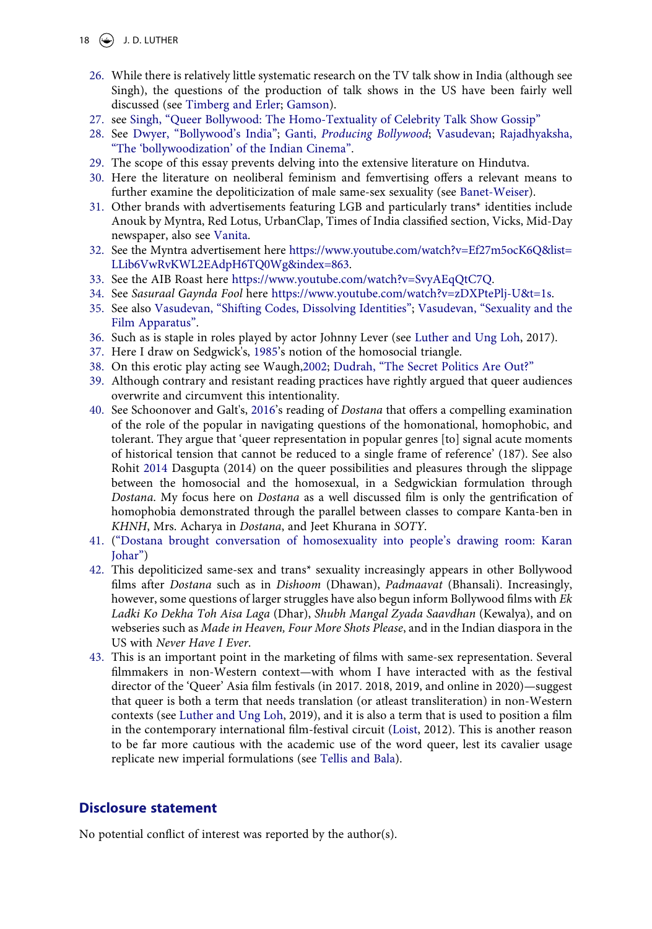#### 18  $\left(\frac{\mathbb{C}}{2}\right)$  J.D. LUTHER

- <span id="page-18-0"></span>26. While there is relatively little systematic research on the TV talk show in India (although see Singh), the questions of the production of talk shows in the US have been fairly well discussed (see [Timberg and Erler](#page-21-2); [Gamson](#page-20-18)).
- <span id="page-18-19"></span><span id="page-18-1"></span>27. see [Singh, "Queer Bollywood: The Homo-Textuality of Celebrity Talk Show Gossip"](#page-21-16)
- <span id="page-18-2"></span>28. See [Dwyer, "Bollywood's India";](#page-19-14) Ganti, *[Producing Bollywood](#page-20-5)*; [Vasudevan](#page-21-17); [Rajadhyaksha,](#page-21-3) ["The 'bollywoodization' of the Indian Cinema".](#page-21-3)
- <span id="page-18-3"></span>29. The scope of this essay prevents delving into the extensive literature on Hindutva.
- <span id="page-18-18"></span><span id="page-18-4"></span>30. Here the literature on neoliberal feminism and femvertising offers a relevant means to further examine the depoliticization of male same-sex sexuality (see [Banet-Weiser](#page-19-15)).
- <span id="page-18-5"></span>31. Other brands with advertisements featuring LGB and particularly trans\* identities include Anouk by Myntra, Red Lotus, UrbanClap, Times of India classified section, Vicks, Mid-Day newspaper, also see [Vanita](#page-21-6).
- <span id="page-18-6"></span>32. See the Myntra advertisement here [https://www.youtube.com/watch?v=Ef27m5ocK6Q&list=](https://www.youtube.com/watch?v=Ef27m5ocK6Q%26list=LLib6VwRvKWL2EAdpH6TQ0Wg%26index=863) [LLib6VwRvKWL2EAdpH6TQ0Wg&index=863](https://www.youtube.com/watch?v=Ef27m5ocK6Q%26list=LLib6VwRvKWL2EAdpH6TQ0Wg%26index=863).
- <span id="page-18-7"></span>33. See the AIB Roast here <https://www.youtube.com/watch?v=SvyAEqQtC7Q>.
- <span id="page-18-8"></span>34. See *Sasuraal Gaynda Fool* here [https://www.youtube.com/watch?v=zDXPtePlj-U&t=1s](https://www.youtube.com/watch?v=zDXPtePlj-U7%26t=1s).
- <span id="page-18-9"></span>35. See also [Vasudevan, "Shifting Codes, Dissolving Identities";](#page-21-15) [Vasudevan, "Sexuality and the](#page-21-17) [Film Apparatus"](#page-21-17).
- <span id="page-18-10"></span>36. Such as is staple in roles played by actor Johnny Lever (see [Luther and Ung Loh,](#page-20-14) 2017).
- <span id="page-18-11"></span>37. Here I draw on Sedgwick's, [1985](#page-21-18)'s notion of the homosocial triangle.
- <span id="page-18-12"></span>38. On this erotic play acting see Waugh[,2002;](#page-21-19) [Dudrah, "The Secret Politics Are Out?"](#page-19-12)
- <span id="page-18-13"></span>39. Although contrary and resistant reading practices have rightly argued that queer audiences overwrite and circumvent this intentionality.
- <span id="page-18-14"></span>40. See Schoonover and Galt's, [2016](#page-21-12)'s reading of *Dostana* that offers a compelling examination of the role of the popular in navigating questions of the homonational, homophobic, and tolerant. They argue that 'queer representation in popular genres [to] signal acute moments of historical tension that cannot be reduced to a single frame of reference' (187). See also Rohit [2014](#page-19-10) Dasgupta (2014) on the queer possibilities and pleasures through the slippage between the homosocial and the homosexual, in a Sedgwickian formulation through *Dostana*. My focus here on *Dostana* as a well discussed film is only the gentrification of homophobia demonstrated through the parallel between classes to compare Kanta-ben in *KHNH*, Mrs. Acharya in *Dostana*, and Jeet Khurana in *SOTY*.
- <span id="page-18-15"></span>41. (["Dostana brought conversation of homosexuality into people's drawing room: Karan](#page-19-16) [Johar"\)](#page-19-16)
- <span id="page-18-16"></span>42. This depoliticized same-sex and trans\* sexuality increasingly appears in other Bollywood films after *Dostana* such as in *Dishoom* (Dhawan), *Padmaavat* (Bhansali). Increasingly, however, some questions of larger struggles have also begun inform Bollywood films with *Ek Ladki Ko Dekha Toh Aisa Laga* (Dhar), *Shubh Mangal Zyada Saavdhan* (Kewalya), and on webseries such as *Made in Heaven, Four More Shots Please*, and in the Indian diaspora in the US with *Never Have I Ever*.
- <span id="page-18-20"></span><span id="page-18-17"></span>43. This is an important point in the marketing of films with same-sex representation. Several filmmakers in non-Western context—with whom I have interacted with as the festival director of the 'Queer' Asia film festivals (in 2017. 2018, 2019, and online in 2020)—suggest that queer is both a term that needs translation (or atleast transliteration) in non-Western contexts (see [Luther and Ung Loh](#page-20-14), 2019), and it is also a term that is used to position a film in the contemporary international film-festival circuit [\(Loist](#page-20-19), 2012). This is another reason to be far more cautious with the academic use of the word queer, lest its cavalier usage replicate new imperial formulations (see [Tellis and Bala](#page-21-11)).

# **Disclosure statement**

No potential conflict of interest was reported by the author(s).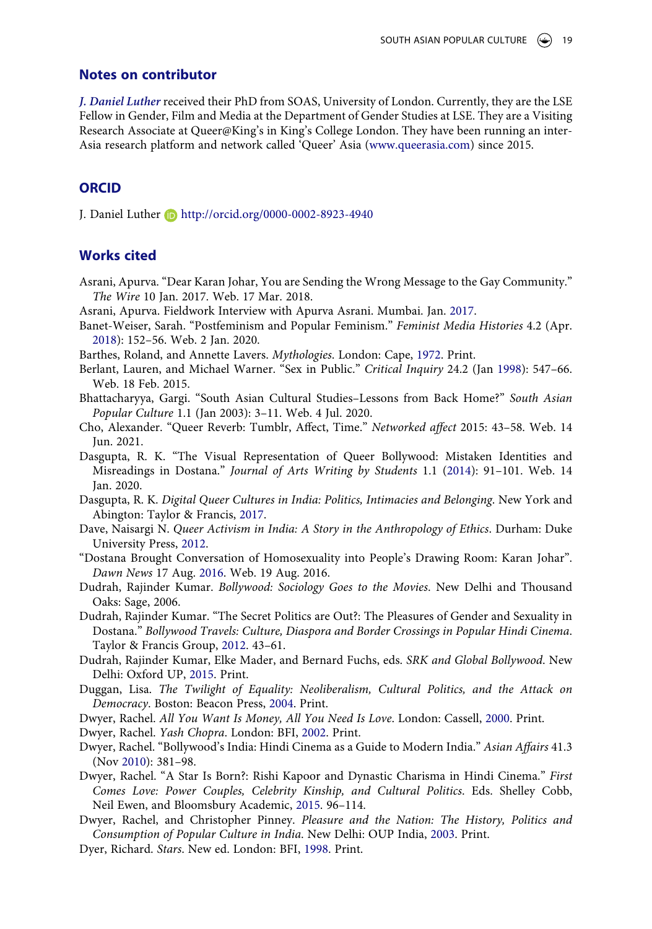#### **Notes on contributor**

*J. Daniel Luther* received their PhD from SOAS, University of London. Currently, they are the LSE Fellow in Gender, Film and Media at the Department of Gender Studies at LSE. They are a Visiting Research Associate at Queer@King's in King's College London. They have been running an inter-Asia research platform and network called 'Queer' Asia (www.queerasia.com) since 2015.

#### **ORCID**

J. Daniel Luther **b** http://orcid.org/0000-0002-8923-4940

# **Works cited**

- Asrani, Apurva. "Dear Karan Johar, You are Sending the Wrong Message to the Gay Community." *The Wire* 10 Jan. 2017. Web. 17 Mar. 2018.
- <span id="page-19-2"></span>Asrani, Apurva. Fieldwork Interview with Apurva Asrani. Mumbai. Jan. [2017.](#page-6-0)
- <span id="page-19-15"></span>Banet-Weiser, Sarah. "Postfeminism and Popular Feminism." *Feminist Media Histories* 4.2 (Apr. [2018](#page-18-18)): 152–56. Web. 2 Jan. 2020.
- <span id="page-19-3"></span>Barthes, Roland, and Annette Lavers. *Mythologies*. London: Cape, [1972.](#page-6-1) Print.
- <span id="page-19-8"></span>Berlant, Lauren, and Michael Warner. "Sex in Public." *Critical Inquiry* 24.2 (Jan [1998\)](#page-8-0): 547–66. Web. 18 Feb. 2015.
- Bhattacharyya, Gargi. "South Asian Cultural Studies–Lessons from Back Home?" *South Asian Popular Culture* 1.1 (Jan 2003): 3–11. Web. 4 Jul. 2020.
- Cho, Alexander. "Queer Reverb: Tumblr, Affect, Time." *Networked affect* 2015: 43–58. Web. 14 Jun. 2021.
- <span id="page-19-10"></span>Dasgupta, R. K. "The Visual Representation of Queer Bollywood: Mistaken Identities and Misreadings in Dostana." *Journal of Arts Writing by Students* 1.1 [\(2014\)](#page-12-0): 91–101. Web. 14 Jan. 2020.
- <span id="page-19-9"></span>Dasgupta, R. K. *Digital Queer Cultures in India: Politics, Intimacies and Belonging*. New York and Abington: Taylor & Francis, [2017.](#page-8-1)
- <span id="page-19-13"></span>Dave, Naisargi N. *Queer Activism in India: A Story in the Anthropology of Ethics*. Durham: Duke University Press, [2012.](#page-17-13)
- <span id="page-19-16"></span>"Dostana Brought Conversation of Homosexuality into People's Drawing Room: Karan Johar". *Dawn News* 17 Aug. [2016](#page-18-15). Web. 19 Aug. 2016.
- Dudrah, Rajinder Kumar. *Bollywood: Sociology Goes to the Movies*. New Delhi and Thousand Oaks: Sage, 2006.
- <span id="page-19-12"></span>Dudrah, Rajinder Kumar. "The Secret Politics are Out?: The Pleasures of Gender and Sexuality in Dostana." *Bollywood Travels: Culture, Diaspora and Border Crossings in Popular Hindi Cinema*. Taylor & Francis Group, [2012](#page-17-14). 43–61.
- <span id="page-19-6"></span>Dudrah, Rajinder Kumar, Elke Mader, and Bernard Fuchs, eds. *SRK and Global Bollywood*. New Delhi: Oxford UP, [2015.](#page-7-0) Print.
- <span id="page-19-1"></span>Duggan, Lisa. *The Twilight of Equality: Neoliberalism, Cultural Politics, and the Attack on Democracy*. Boston: Beacon Press, [2004](#page-3-0). Print.

<span id="page-19-4"></span>Dwyer, Rachel. *All You Want Is Money, All You Need Is Love*. London: Cassell, [2000.](#page-6-2) Print.

<span id="page-19-7"></span>Dwyer, Rachel. *Yash Chopra*. London: BFI, [2002.](#page-7-1) Print.

- <span id="page-19-14"></span>Dwyer, Rachel. "Bollywood's India: Hindi Cinema as a Guide to Modern India." *Asian Affairs* 41.3 (Nov [2010](#page-18-2)): 381–98.
- <span id="page-19-5"></span>Dwyer, Rachel. "A Star Is Born?: Rishi Kapoor and Dynastic Charisma in Hindi Cinema." *First Comes Love: Power Couples, Celebrity Kinship, and Cultural Politics*. Eds. Shelley Cobb, Neil Ewen, and Bloomsbury Academic, [2015](#page-6-3). 96–114.
- <span id="page-19-11"></span>Dwyer, Rachel, and Christopher Pinney. *Pleasure and the Nation: The History, Politics and Consumption of Popular Culture in India*. New Delhi: OUP India, [2003](#page-17-1). Print.
- <span id="page-19-0"></span>Dyer, Richard. *Stars*. New ed. London: BFI, [1998](#page-2-0). Print.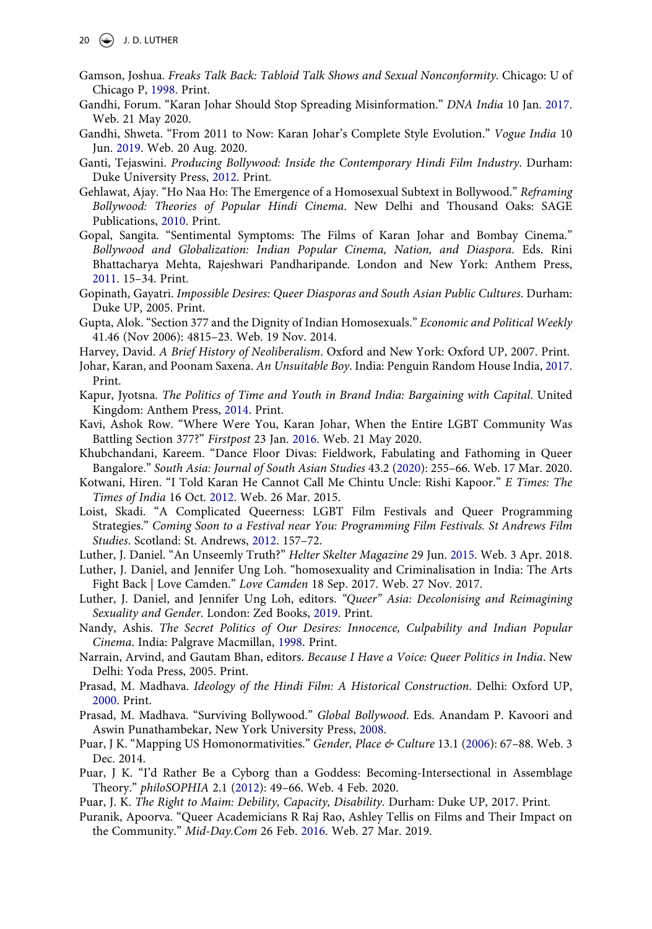- <span id="page-20-18"></span>Gamson, Joshua. *Freaks Talk Back: Tabloid Talk Shows and Sexual Nonconformity*. Chicago: U of Chicago P, [1998](#page-18-19). Print.
- <span id="page-20-8"></span>Gandhi, Forum. "Karan Johar Should Stop Spreading Misinformation." *DNA India* 10 Jan. [2017](#page-6-0). Web. 21 May 2020.
- <span id="page-20-2"></span>Gandhi, Shweta. "From 2011 to Now: Karan Johar's Complete Style Evolution." *Vogue India* 10 Jun. [2019](#page-2-1). Web. 20 Aug. 2020.
- <span id="page-20-5"></span>Ganti, Tejaswini. *Producing Bollywood: Inside the Contemporary Hindi Film Industry*. Durham: Duke University Press, [2012](#page-3-1). Print.
- <span id="page-20-13"></span>Gehlawat, Ajay. "Ho Naa Ho: The Emergence of a Homosexual Subtext in Bollywood." *Reframing Bollywood: Theories of Popular Hindi Cinema*. New Delhi and Thousand Oaks: SAGE Publications, [2010](#page-13-0). Print.
- <span id="page-20-0"></span>Gopal, Sangita. "Sentimental Symptoms: The Films of Karan Johar and Bombay Cinema." *Bollywood and Globalization: Indian Popular Cinema, Nation, and Diaspora*. Eds. Rini Bhattacharya Mehta, Rajeshwari Pandharipande. London and New York: Anthem Press, [2011](#page-1-0). 15–34. Print.
- Gopinath, Gayatri. *Impossible Desires: Queer Diasporas and South Asian Public Cultures*. Durham: Duke UP, 2005. Print.
- Gupta, Alok. "Section 377 and the Dignity of Indian Homosexuals." *Economic and Political Weekly*  41.46 (Nov 2006): 4815–23. Web. 19 Nov. 2014.
- Harvey, David. *A Brief History of Neoliberalism*. Oxford and New York: Oxford UP, 2007. Print.
- <span id="page-20-1"></span>Johar, Karan, and Poonam Saxena. *An Unsuitable Boy*. India: Penguin Random House India, [2017](#page-2-2). Print.
- <span id="page-20-10"></span>Kapur, Jyotsna. *The Politics of Time and Youth in Brand India: Bargaining with Capital*. United Kingdom: Anthem Press, [2014](#page-8-2). Print.
- <span id="page-20-7"></span>Kavi, Ashok Row. "Where Were You, Karan Johar, When the Entire LGBT Community Was Battling Section 377?" *Firstpost* 23 Jan. [2016.](#page-6-0) Web. 21 May 2020.
- <span id="page-20-17"></span>Khubchandani, Kareem. "Dance Floor Divas: Fieldwork, Fabulating and Fathoming in Queer Bangalore." *South Asia: Journal of South Asian Studies* 43.2 [\(2020](#page-17-10)): 255–66. Web. 17 Mar. 2020.
- <span id="page-20-12"></span>Kotwani, Hiren. "I Told Karan He Cannot Call Me Chintu Uncle: Rishi Kapoor." *E Times: The Times of India* 16 Oct. [2012.](#page-12-1) Web. 26 Mar. 2015.
- <span id="page-20-19"></span>Loist, Skadi. "A Complicated Queerness: LGBT Film Festivals and Queer Programming Strategies." *Coming Soon to a Festival near You: Programming Film Festivals. St Andrews Film Studies*. Scotland: St. Andrews, [2012](#page-18-20). 157–72.
- <span id="page-20-11"></span>Luther, J. Daniel. "An Unseemly Truth?" *Helter Skelter Magazine* 29 Jun. [2015](#page-9-0). Web. 3 Apr. 2018.
- Luther, J. Daniel, and Jennifer Ung Loh. "homosexuality and Criminalisation in India: The Arts Fight Back | Love Camden." *Love Camden* 18 Sep. 2017. Web. 27 Nov. 2017.
- <span id="page-20-14"></span>Luther, J. Daniel, and Jennifer Ung Loh, editors. *"Queer" Asia: Decolonising and Reimagining Sexuality and Gender*. London: Zed Books, [2019.](#page-15-4) Print.
- <span id="page-20-15"></span>Nandy, Ashis. *The Secret Politics of Our Desires: Innocence, Culpability and Indian Popular Cinema*. India: Palgrave Macmillan, [1998.](#page-16-8) Print.
- Narrain, Arvind, and Gautam Bhan, editors. *Because I Have a Voice: Queer Politics in India*. New Delhi: Yoda Press, 2005. Print.
- <span id="page-20-4"></span>Prasad, M. Madhava. *Ideology of the Hindi Film: A Historical Construction*. Delhi: Oxford UP, [2000](#page-3-2). Print.
- <span id="page-20-9"></span>Prasad, M. Madhava. "Surviving Bollywood." *Global Bollywood*. Eds. Anandam P. Kavoori and Aswin Punathambekar, New York University Press, [2008](#page-6-4).
- <span id="page-20-3"></span>Puar, J K. "Mapping US Homonormativities." *Gender, Place & Culture* 13.1 ([2006\)](#page-3-3): 67–88. Web. 3 Dec. 2014.
- <span id="page-20-16"></span>Puar, J K. "I'd Rather Be a Cyborg than a Goddess: Becoming-Intersectional in Assemblage Theory." *philoSOPHIA* 2.1 [\(2012](#page-17-6)): 49–66. Web. 4 Feb. 2020.
- Puar, J. K. *The Right to Maim: Debility, Capacity, Disability*. Durham: Duke UP, 2017. Print.
- <span id="page-20-6"></span>Puranik, Apoorva. "Queer Academicians R Raj Rao, Ashley Tellis on Films and Their Impact on the Community." *Mid-Day.Com* 26 Feb. [2016](#page-6-0). Web. 27 Mar. 2019.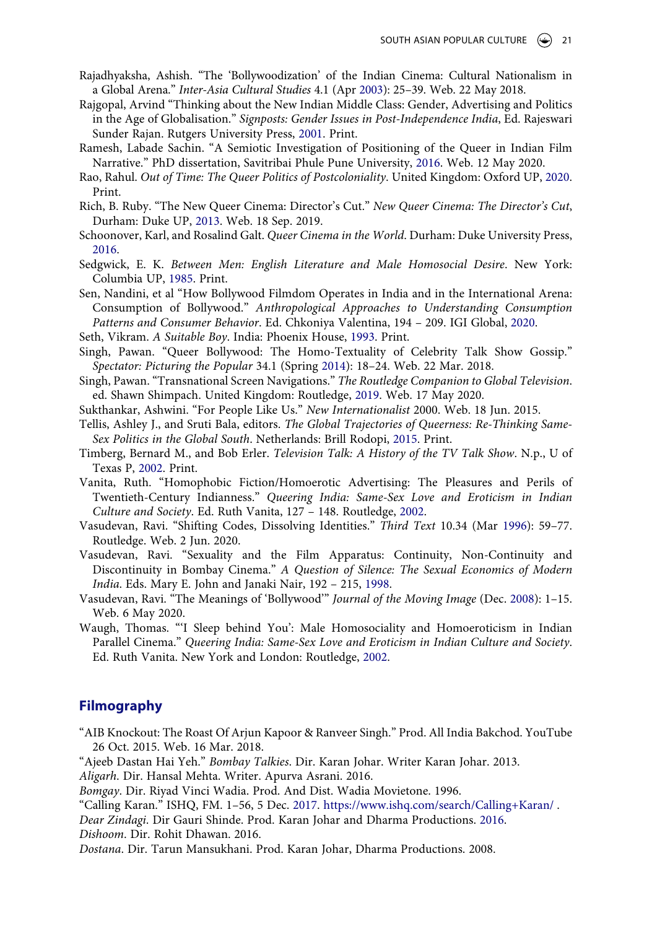- <span id="page-21-3"></span>Rajadhyaksha, Ashish. "The 'Bollywoodization' of the Indian Cinema: Cultural Nationalism in a Global Arena." *Inter-Asia Cultural Studies* 4.1 (Apr [2003\)](#page-6-4): 25–39. Web. 22 May 2018.
- <span id="page-21-5"></span>Rajgopal, Arvind "Thinking about the New Indian Middle Class: Gender, Advertising and Politics in the Age of Globalisation." *Signposts: Gender Issues in Post-Independence India*, Ed. Rajeswari Sunder Rajan. Rutgers University Press, [2001](#page-8-3). Print.
- <span id="page-21-9"></span>Ramesh, Labade Sachin. "A Semiotic Investigation of Positioning of the Queer in Indian Film Narrative." PhD dissertation, Savitribai Phule Pune University, [2016](#page-11-0). Web. 12 May 2020.
- <span id="page-21-8"></span>Rao, Rahul. *Out of Time: The Queer Politics of Postcoloniality*. United Kingdom: Oxford UP, [2020](#page-9-1). Print.
- <span id="page-21-13"></span>Rich, B. Ruby. "The New Queer Cinema: Director's Cut." *New Queer Cinema: The Director's Cut*, Durham: Duke UP, [2013](#page-16-9). Web. 18 Sep. 2019.
- <span id="page-21-12"></span>Schoonover, Karl, and Rosalind Galt. *Queer Cinema in the World*. Durham: Duke University Press, [2016](#page-16-10).
- <span id="page-21-18"></span>Sedgwick, E. K. *Between Men: English Literature and Male Homosocial Desire*. New York: Columbia UP, [1985](#page-18-11). Print.
- <span id="page-21-7"></span>Sen, Nandini, et al "How Bollywood Filmdom Operates in India and in the International Arena: Consumption of Bollywood." *Anthropological Approaches to Understanding Consumption Patterns and Consumer Behavior*. Ed. Chkoniya Valentina, 194 – 209. IGI Global, [2020.](#page-8-2)

<span id="page-21-0"></span>Seth, Vikram. *A Suitable Boy*. India: Phoenix House, [1993.](#page-4-0) Print.

- <span id="page-21-16"></span>Singh, Pawan. "Queer Bollywood: The Homo-Textuality of Celebrity Talk Show Gossip." *Spectator: Picturing the Popular* 34.1 (Spring [2014\)](#page-18-1): 18–24. Web. 22 Mar. 2018.
- <span id="page-21-1"></span>Singh, Pawan. "Transnational Screen Navigations." *The Routledge Companion to Global Television*. ed. Shawn Shimpach. United Kingdom: Routledge, [2019](#page-5-0). Web. 17 May 2020.
- Sukthankar, Ashwini. "For People Like Us." *New Internationalist* 2000. Web. 18 Jun. 2015.
- <span id="page-21-11"></span>Tellis, Ashley J., and Sruti Bala, editors. *The Global Trajectories of Queerness: Re-Thinking Same-Sex Politics in the Global South*. Netherlands: Brill Rodopi, [2015.](#page-16-11) Print.
- <span id="page-21-2"></span>Timberg, Bernard M., and Bob Erler. *Television Talk: A History of the TV Talk Show*. N.p., U of Texas P, [2002](#page-5-1). Print.
- <span id="page-21-6"></span>Vanita, Ruth. "Homophobic Fiction/Homoerotic Advertising: The Pleasures and Perils of Twentieth-Century Indianness." *Queering India: Same-Sex Love and Eroticism in Indian Culture and Society*. Ed. Ruth Vanita, 127 – 148. Routledge, [2002.](#page-8-3)
- <span id="page-21-15"></span>Vasudevan, Ravi. "Shifting Codes, Dissolving Identities." *Third Text* 10.34 (Mar [1996\)](#page-16-5): 59–77. Routledge. Web. 2 Jun. 2020.
- <span id="page-21-17"></span>Vasudevan, Ravi. "Sexuality and the Film Apparatus: Continuity, Non-Continuity and Discontinuity in Bombay Cinema." *A Question of Silence: The Sexual Economics of Modern India*. Eds. Mary E. John and Janaki Nair, 192 – 215, [1998.](#page-18-9)
- <span id="page-21-4"></span>Vasudevan, Ravi. "The Meanings of 'Bollywood'" *Journal of the Moving Image* (Dec. [2008](#page-7-2)): 1–15. Web. 6 May 2020.
- <span id="page-21-19"></span>Waugh, Thomas. "'I Sleep behind You': Male Homosociality and Homoeroticism in Indian Parallel Cinema." *Queering India: Same-Sex Love and Eroticism in Indian Culture and Society*. Ed. Ruth Vanita. New York and London: Routledge, [2002](#page-18-12).

#### **Filmography**

"AIB Knockout: The Roast Of Arjun Kapoor & Ranveer Singh." Prod. All India Bakchod. YouTube 26 Oct. 2015. Web. 16 Mar. 2018.

"Ajeeb Dastan Hai Yeh." *Bombay Talkies*. Dir. Karan Johar. Writer Karan Johar. 2013.

*Aligarh*. Dir. Hansal Mehta. Writer. Apurva Asrani. 2016.

- *Bomgay*. Dir. Riyad Vinci Wadia. Prod. And Dist. Wadia Movietone. 1996.
- <span id="page-21-14"></span>"Calling Karan." ISHQ, FM. 1–56, 5 Dec. [2017](#page-16-12). <https://www.ishq.com/search/Calling+Karan/> .

<span id="page-21-10"></span>*Dear Zindagi*. Dir Gauri Shinde. Prod. Karan Johar and Dharma Productions. [2016](#page-11-1). *Dishoom*. Dir. Rohit Dhawan. 2016.

*Dostana*. Dir. Tarun Mansukhani. Prod. Karan Johar, Dharma Productions. 2008.